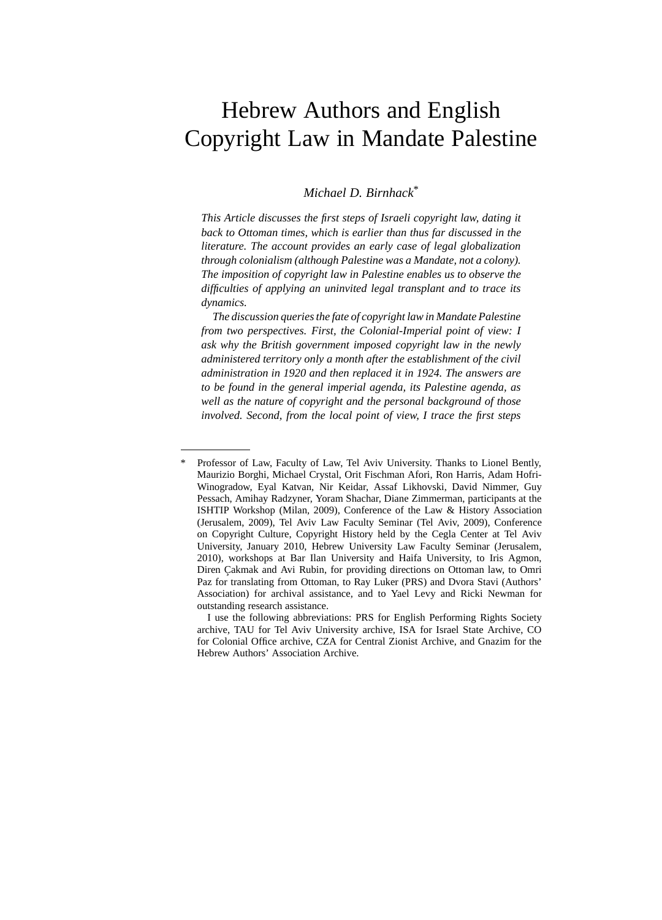# Hebrew Authors and English Copyright Law in Mandate Palestine

# *Michael D. Birnhack*\*

*This Article discusses the first steps of Israeli copyright law, dating it back to Ottoman times, which is earlier than thus far discussed in the literature. The account provides an early case of legal globalization through colonialism (although Palestine was a Mandate, not a colony). The imposition of copyright law in Palestine enables us to observe the difficulties of applying an uninvited legal transplant and to trace its dynamics.*

*The discussion queries the fate of copyright law in Mandate Palestine from two perspectives. First, the Colonial-Imperial point of view: I ask why the British government imposed copyright law in the newly administered territory only a month after the establishment of the civil administration in 1920 and then replaced it in 1924. The answers are to be found in the general imperial agenda, its Palestine agenda, as well as the nature of copyright and the personal background of those involved. Second, from the local point of view, I trace the first steps*

Professor of Law, Faculty of Law, Tel Aviv University. Thanks to Lionel Bently, Maurizio Borghi, Michael Crystal, Orit Fischman Afori, Ron Harris, Adam Hofri-Winogradow, Eyal Katvan, Nir Keidar, Assaf Likhovski, David Nimmer, Guy Pessach, Amihay Radzyner, Yoram Shachar, Diane Zimmerman, participants at the ISHTIP Workshop (Milan, 2009), Conference of the Law & History Association (Jerusalem, 2009), Tel Aviv Law Faculty Seminar (Tel Aviv, 2009), Conference on Copyright Culture, Copyright History held by the Cegla Center at Tel Aviv University, January 2010, Hebrew University Law Faculty Seminar (Jerusalem, 2010), workshops at Bar Ilan University and Haifa University, to Iris Agmon, Diren Cakmak and Avi Rubin, for providing directions on Ottoman law, to Omri Paz for translating from Ottoman, to Ray Luker (PRS) and Dvora Stavi (Authors' Association) for archival assistance, and to Yael Levy and Ricki Newman for outstanding research assistance.

I use the following abbreviations: PRS for English Performing Rights Society archive, TAU for Tel Aviv University archive, ISA for Israel State Archive, CO for Colonial Office archive, CZA for Central Zionist Archive, and Gnazim for the Hebrew Authors' Association Archive.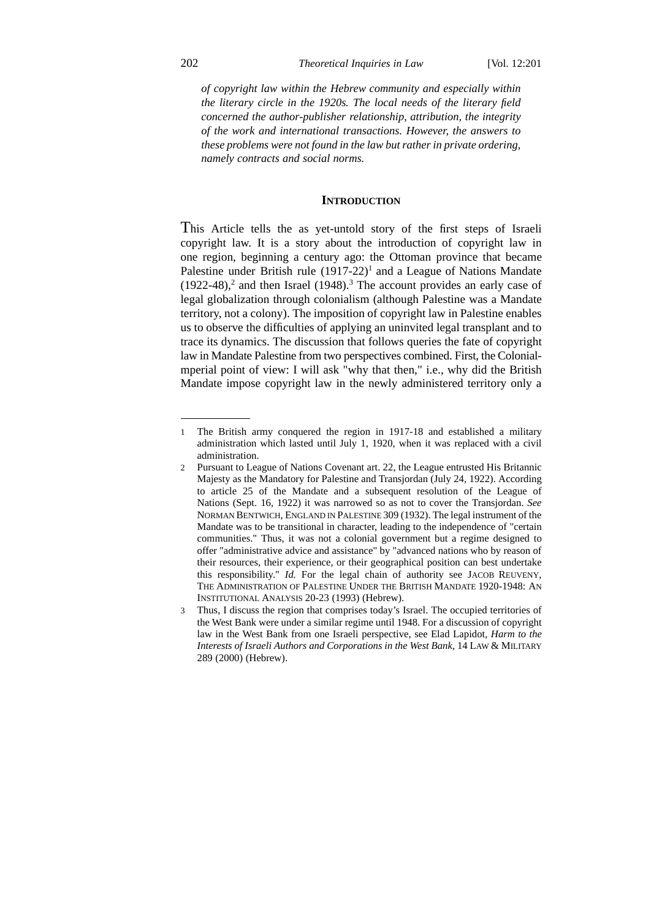*of copyright law within the Hebrew community and especially within the literary circle in the 1920s. The local needs of the literary field concerned the author-publisher relationship, attribution, the integrity of the work and international transactions. However, the answers to these problems were not found in the law but rather in private ordering, namely contracts and social norms.*

# **INTRODUCTION**

This Article tells the as yet-untold story of the first steps of Israeli copyright law. It is a story about the introduction of copyright law in one region, beginning a century ago: the Ottoman province that became Palestine under British rule  $(1917-22)^1$  and a League of Nations Mandate  $(1922-48)$ ,<sup>2</sup> and then Israel  $(1948)$ .<sup>3</sup> The account provides an early case of legal globalization through colonialism (although Palestine was a Mandate territory, not a colony). The imposition of copyright law in Palestine enables us to observe the difficulties of applying an uninvited legal transplant and to trace its dynamics. The discussion that follows queries the fate of copyright law in Mandate Palestine from two perspectives combined. First, the Colonialmperial point of view: I will ask "why that then," i.e., why did the British Mandate impose copyright law in the newly administered territory only a

<sup>1</sup> The British army conquered the region in 1917-18 and established a military administration which lasted until July 1, 1920, when it was replaced with a civil administration.

<sup>2</sup> Pursuant to League of Nations Covenant art. 22, the League entrusted His Britannic Majesty as the Mandatory for Palestine and Transjordan (July 24, 1922). According to article 25 of the Mandate and a subsequent resolution of the League of Nations (Sept. 16, 1922) it was narrowed so as not to cover the Transjordan. *See* NORMAN BENTWICH, ENGLAND IN PALESTINE 309 (1932). The legal instrument of the Mandate was to be transitional in character, leading to the independence of "certain communities." Thus, it was not a colonial government but a regime designed to offer "administrative advice and assistance" by "advanced nations who by reason of their resources, their experience, or their geographical position can best undertake this responsibility." *Id.* For the legal chain of authority see JACOB REUVENY, THE ADMINISTRATION OF PALESTINE UNDER THE BRITISH MANDATE 1920-1948: AN INSTITUTIONAL ANALYSIS 20-23 (1993) (Hebrew).

<sup>3</sup> Thus, I discuss the region that comprises today's Israel. The occupied territories of the West Bank were under a similar regime until 1948. For a discussion of copyright law in the West Bank from one Israeli perspective, see Elad Lapidot, *Harm to the Interests of Israeli Authors and Corporations in the West Bank*, 14 LAW & MILITARY 289 (2000) (Hebrew).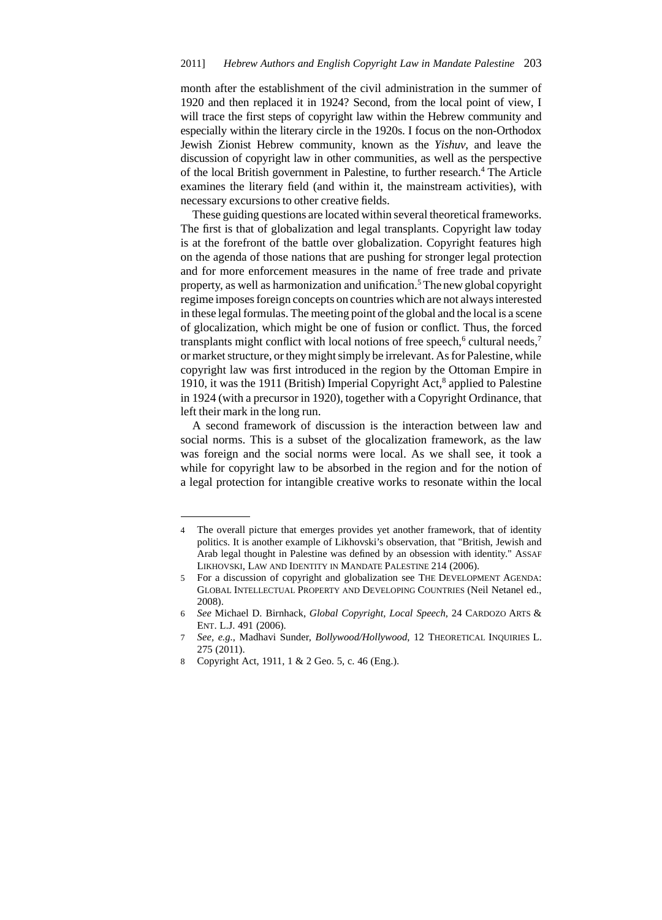#### 2011] *Hebrew Authors and English Copyright Law in Mandate Palestine* 203

month after the establishment of the civil administration in the summer of 1920 and then replaced it in 1924? Second, from the local point of view, I will trace the first steps of copyright law within the Hebrew community and especially within the literary circle in the 1920s. I focus on the non-Orthodox Jewish Zionist Hebrew community, known as the *Yishuv*, and leave the discussion of copyright law in other communities, as well as the perspective of the local British government in Palestine, to further research.<sup>4</sup> The Article examines the literary field (and within it, the mainstream activities), with necessary excursions to other creative fields.

These guiding questions are located within several theoretical frameworks. The first is that of globalization and legal transplants. Copyright law today is at the forefront of the battle over globalization. Copyright features high on the agenda of those nations that are pushing for stronger legal protection and for more enforcement measures in the name of free trade and private property, as well as harmonization and unification.<sup>5</sup> The new global copyright regime imposes foreign concepts on countries which are not always interested in these legal formulas. The meeting point of the global and the local is a scene of glocalization, which might be one of fusion or conflict. Thus, the forced transplants might conflict with local notions of free speech, $6$  cultural needs, $7$ or market structure, or they might simply be irrelevant. As for Palestine, while copyright law was first introduced in the region by the Ottoman Empire in 1910, it was the 1911 (British) Imperial Copyright Act,<sup>8</sup> applied to Palestine in 1924 (with a precursor in 1920), together with a Copyright Ordinance, that left their mark in the long run.

A second framework of discussion is the interaction between law and social norms. This is a subset of the glocalization framework, as the law was foreign and the social norms were local. As we shall see, it took a while for copyright law to be absorbed in the region and for the notion of a legal protection for intangible creative works to resonate within the local

<sup>4</sup> The overall picture that emerges provides yet another framework, that of identity politics. It is another example of Likhovski's observation, that "British, Jewish and Arab legal thought in Palestine was defined by an obsession with identity." ASSAF LIKHOVSKI, LAW AND IDENTITY IN MANDATE PALESTINE 214 (2006).

<sup>5</sup> For a discussion of copyright and globalization see THE DEVELOPMENT AGENDA: GLOBAL INTELLECTUAL PROPERTY AND DEVELOPING COUNTRIES (Neil Netanel ed., 2008).

<sup>6</sup> *See* Michael D. Birnhack, *Global Copyright, Local Speech*, 24 CARDOZO ARTS & ENT. L.J. 491 (2006).

<sup>7</sup> *See, e.g.*, Madhavi Sunder, *Bollywood/Hollywood*, 12 THEORETICAL INQUIRIES L. 275 (2011).

<sup>8</sup> Copyright Act, 1911,1&2 Geo. 5, c. 46 (Eng.).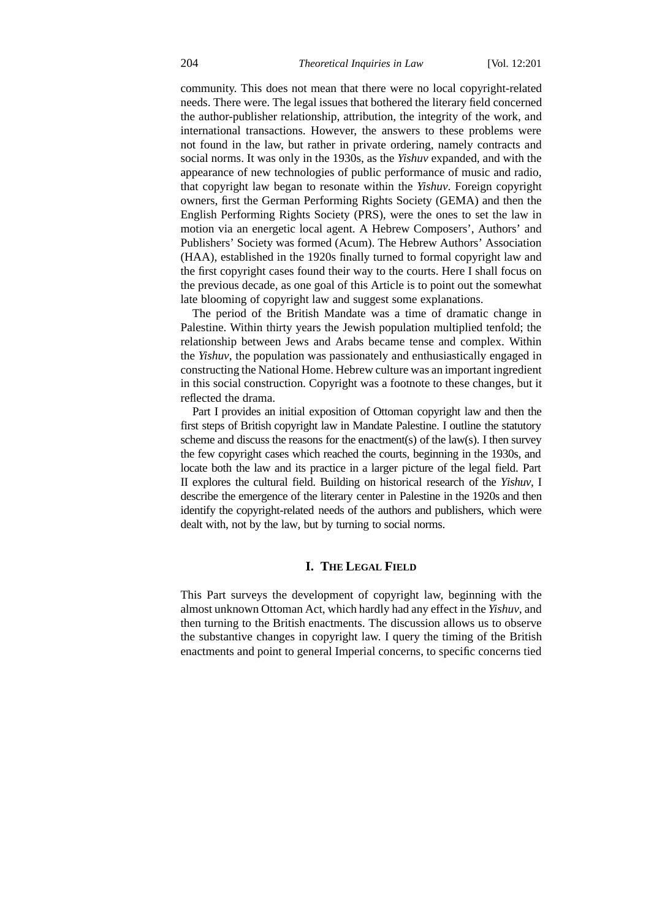community. This does not mean that there were no local copyright-related needs. There were. The legal issues that bothered the literary field concerned the author-publisher relationship, attribution, the integrity of the work, and international transactions. However, the answers to these problems were not found in the law, but rather in private ordering, namely contracts and social norms. It was only in the 1930s, as the *Yishuv* expanded, and with the appearance of new technologies of public performance of music and radio, that copyright law began to resonate within the *Yishuv*. Foreign copyright owners, first the German Performing Rights Society (GEMA) and then the English Performing Rights Society (PRS), were the ones to set the law in motion via an energetic local agent. A Hebrew Composers', Authors' and Publishers' Society was formed (Acum). The Hebrew Authors' Association (HAA), established in the 1920s finally turned to formal copyright law and the first copyright cases found their way to the courts. Here I shall focus on the previous decade, as one goal of this Article is to point out the somewhat late blooming of copyright law and suggest some explanations.

The period of the British Mandate was a time of dramatic change in Palestine. Within thirty years the Jewish population multiplied tenfold; the relationship between Jews and Arabs became tense and complex. Within the *Yishuv*, the population was passionately and enthusiastically engaged in constructing the National Home. Hebrew culture was an important ingredient in this social construction. Copyright was a footnote to these changes, but it reflected the drama.

Part I provides an initial exposition of Ottoman copyright law and then the first steps of British copyright law in Mandate Palestine. I outline the statutory scheme and discuss the reasons for the enactment(s) of the law(s). I then survey the few copyright cases which reached the courts, beginning in the 1930s, and locate both the law and its practice in a larger picture of the legal field. Part II explores the cultural field. Building on historical research of the *Yishuv*, I describe the emergence of the literary center in Palestine in the 1920s and then identify the copyright-related needs of the authors and publishers, which were dealt with, not by the law, but by turning to social norms.

# **I. THE LEGAL FIELD**

This Part surveys the development of copyright law, beginning with the almost unknown Ottoman Act, which hardly had any effect in the *Yishuv*, and then turning to the British enactments. The discussion allows us to observe the substantive changes in copyright law. I query the timing of the British enactments and point to general Imperial concerns, to specific concerns tied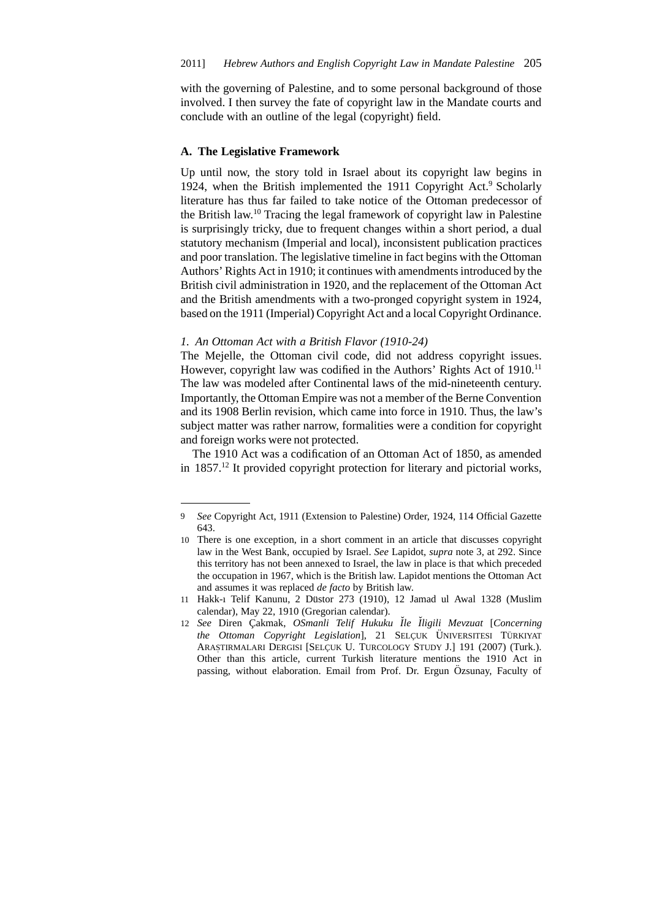with the governing of Palestine, and to some personal background of those involved. I then survey the fate of copyright law in the Mandate courts and conclude with an outline of the legal (copyright) field.

## **A. The Legislative Framework**

Up until now, the story told in Israel about its copyright law begins in 1924, when the British implemented the 1911 Copyright Act.<sup>9</sup> Scholarly literature has thus far failed to take notice of the Ottoman predecessor of the British law.10 Tracing the legal framework of copyright law in Palestine is surprisingly tricky, due to frequent changes within a short period, a dual statutory mechanism (Imperial and local), inconsistent publication practices and poor translation. The legislative timeline in fact begins with the Ottoman Authors' Rights Act in 1910; it continues with amendments introduced by the British civil administration in 1920, and the replacement of the Ottoman Act and the British amendments with a two-pronged copyright system in 1924, based on the 1911 (Imperial) Copyright Act and a local Copyright Ordinance.

#### *1. An Ottoman Act with a British Flavor (1910-24)*

The Mejelle, the Ottoman civil code, did not address copyright issues. However, copyright law was codified in the Authors' Rights Act of 1910.<sup>11</sup> The law was modeled after Continental laws of the mid-nineteenth century. Importantly, the Ottoman Empire was not a member of the Berne Convention and its 1908 Berlin revision, which came into force in 1910. Thus, the law's subject matter was rather narrow, formalities were a condition for copyright and foreign works were not protected.

The 1910 Act was a codification of an Ottoman Act of 1850, as amended in 1857.12 It provided copyright protection for literary and pictorial works,

<sup>9</sup> *See* Copyright Act, 1911 (Extension to Palestine) Order, 1924, 114 Official Gazette 643.

<sup>10</sup> There is one exception, in a short comment in an article that discusses copyright law in the West Bank, occupied by Israel. *See* Lapidot, *supra* note 3, at 292. Since this territory has not been annexed to Israel, the law in place is that which preceded the occupation in 1967, which is the British law. Lapidot mentions the Ottoman Act and assumes it was replaced *de facto* by British law.

<sup>11</sup> Hakk-ı Telif Kanunu, 2 Düstor 273 (1910), 12 Jamad ul Awal 1328 (Muslim calendar), May 22, 1910 (Gregorian calendar).

<sup>12</sup> *See* Diren C¸ akmak, *OSmanli Telif Hukuku Iˇle Iˇligili Mevzuat* [*Concerning the Ottoman Copyright Legislation*], 21 SELÇUK ÜNIVERSITESI TÜRKIYAT ARASTIRMALARI DERGISI [SELÇUK U. TURCOLOGY STUDY J.] 191 (2007) (Turk.).<br>Other than this erticle current Turkish literature mentions the 1910 Act in Other than this article, current Turkish literature mentions the 1910 Act in passing, without elaboration. Email from Prof. Dr. Ergun Özsunay, Faculty of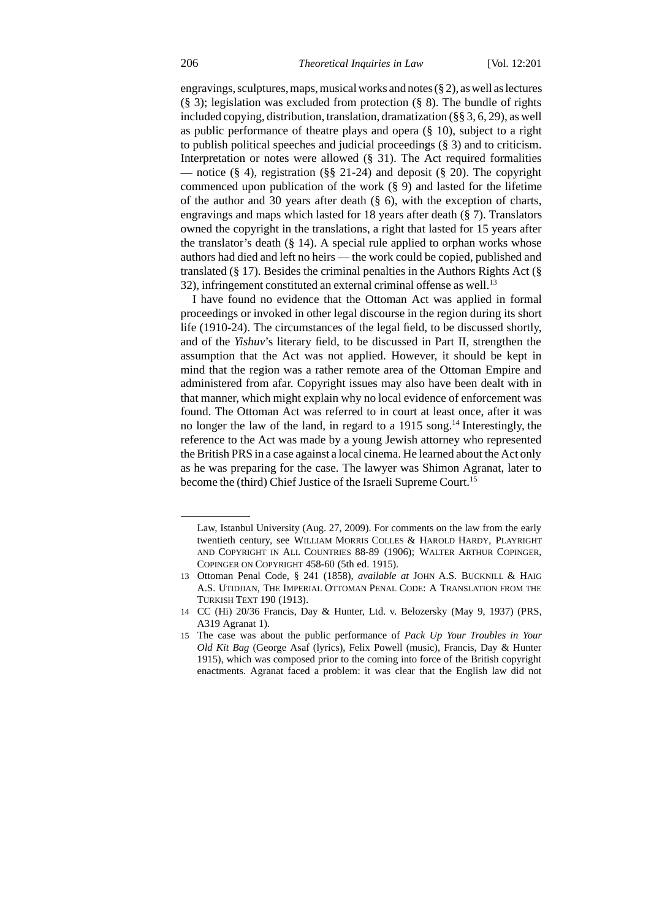engravings, sculptures, maps, musical works and notes (§ 2), as well as lectures  $(\S$  3); legislation was excluded from protection  $(\S$  8). The bundle of rights included copying, distribution, translation, dramatization (§§ 3, 6, 29), as well as public performance of theatre plays and opera (§ 10), subject to a right to publish political speeches and judicial proceedings (§ 3) and to criticism. Interpretation or notes were allowed  $(\S$  31). The Act required formalities — notice (§ 4), registration (§§ 21-24) and deposit (§ 20). The copyright commenced upon publication of the work (§ 9) and lasted for the lifetime of the author and 30 years after death  $(\S$  6), with the exception of charts, engravings and maps which lasted for 18 years after death (§ 7). Translators owned the copyright in the translations, a right that lasted for 15 years after the translator's death (§ 14). A special rule applied to orphan works whose authors had died and left no heirs — the work could be copied, published and translated (§ 17). Besides the criminal penalties in the Authors Rights Act (§ 32), infringement constituted an external criminal offense as well.<sup>13</sup>

I have found no evidence that the Ottoman Act was applied in formal proceedings or invoked in other legal discourse in the region during its short life (1910-24). The circumstances of the legal field, to be discussed shortly, and of the *Yishuv*'s literary field, to be discussed in Part II, strengthen the assumption that the Act was not applied. However, it should be kept in mind that the region was a rather remote area of the Ottoman Empire and administered from afar. Copyright issues may also have been dealt with in that manner, which might explain why no local evidence of enforcement was found. The Ottoman Act was referred to in court at least once, after it was no longer the law of the land, in regard to a 1915 song.14 Interestingly, the reference to the Act was made by a young Jewish attorney who represented the British PRS in a case against a local cinema. He learned about the Act only as he was preparing for the case. The lawyer was Shimon Agranat, later to become the (third) Chief Justice of the Israeli Supreme Court.<sup>15</sup>

Law, Istanbul University (Aug. 27, 2009). For comments on the law from the early twentieth century, see WILLIAM MORRIS COLLES & HAROLD HARDY, PLAYRIGHT AND COPYRIGHT IN ALL COUNTRIES 88-89 (1906); WALTER ARTHUR COPINGER, COPINGER ON COPYRIGHT 458-60 (5th ed. 1915).

<sup>13</sup> Ottoman Penal Code, § 241 (1858), *available at* JOHN A.S. BUCKNILL & HAIG A.S. UTIDJIAN, THE IMPERIAL OTTOMAN PENAL CODE: A TRANSLATION FROM THE TURKISH TEXT 190 (1913).

<sup>14</sup> CC (Hi) 20/36 Francis, Day & Hunter, Ltd. v. Belozersky (May 9, 1937) (PRS, A319 Agranat 1).

<sup>15</sup> The case was about the public performance of *Pack Up Your Troubles in Your Old Kit Bag* (George Asaf (lyrics), Felix Powell (music), Francis, Day & Hunter 1915), which was composed prior to the coming into force of the British copyright enactments. Agranat faced a problem: it was clear that the English law did not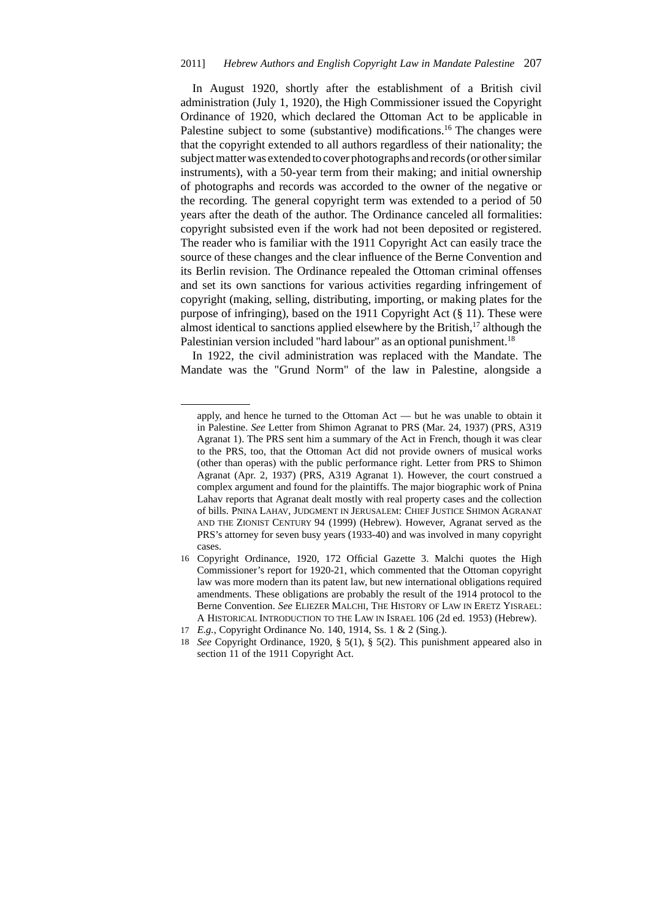In August 1920, shortly after the establishment of a British civil administration (July 1, 1920), the High Commissioner issued the Copyright Ordinance of 1920, which declared the Ottoman Act to be applicable in Palestine subject to some (substantive) modifications.<sup>16</sup> The changes were that the copyright extended to all authors regardless of their nationality; the subject matter was extended to cover photographs and records (or other similar instruments), with a 50-year term from their making; and initial ownership of photographs and records was accorded to the owner of the negative or the recording. The general copyright term was extended to a period of 50 years after the death of the author. The Ordinance canceled all formalities: copyright subsisted even if the work had not been deposited or registered. The reader who is familiar with the 1911 Copyright Act can easily trace the source of these changes and the clear influence of the Berne Convention and its Berlin revision. The Ordinance repealed the Ottoman criminal offenses and set its own sanctions for various activities regarding infringement of copyright (making, selling, distributing, importing, or making plates for the purpose of infringing), based on the 1911 Copyright Act (§ 11). These were almost identical to sanctions applied elsewhere by the British, $17$  although the Palestinian version included "hard labour" as an optional punishment.<sup>18</sup>

In 1922, the civil administration was replaced with the Mandate. The Mandate was the "Grund Norm" of the law in Palestine, alongside a

apply, and hence he turned to the Ottoman Act — but he was unable to obtain it in Palestine. *See* Letter from Shimon Agranat to PRS (Mar. 24, 1937) (PRS, A319 Agranat 1). The PRS sent him a summary of the Act in French, though it was clear to the PRS, too, that the Ottoman Act did not provide owners of musical works (other than operas) with the public performance right. Letter from PRS to Shimon Agranat (Apr. 2, 1937) (PRS, A319 Agranat 1). However, the court construed a complex argument and found for the plaintiffs. The major biographic work of Pnina Lahav reports that Agranat dealt mostly with real property cases and the collection of bills. PNINA LAHAV, JUDGMENT IN JERUSALEM: CHIEF JUSTICE SHIMON AGRANAT AND THE ZIONIST CENTURY 94 (1999) (Hebrew). However, Agranat served as the PRS's attorney for seven busy years (1933-40) and was involved in many copyright cases.

<sup>16</sup> Copyright Ordinance, 1920, 172 Official Gazette 3. Malchi quotes the High Commissioner's report for 1920-21, which commented that the Ottoman copyright law was more modern than its patent law, but new international obligations required amendments. These obligations are probably the result of the 1914 protocol to the Berne Convention. *See* ELIEZER MALCHI, THE HISTORY OF LAW IN ERETZ YISRAEL: A HISTORICAL INTRODUCTION TO THE LAW IN ISRAEL 106 (2d ed. 1953) (Hebrew).

<sup>17</sup> *E.g.*, Copyright Ordinance No. 140, 1914, Ss.1&2 (Sing.).

<sup>18</sup> *See* Copyright Ordinance, 1920, § 5(1), § 5(2). This punishment appeared also in section 11 of the 1911 Copyright Act.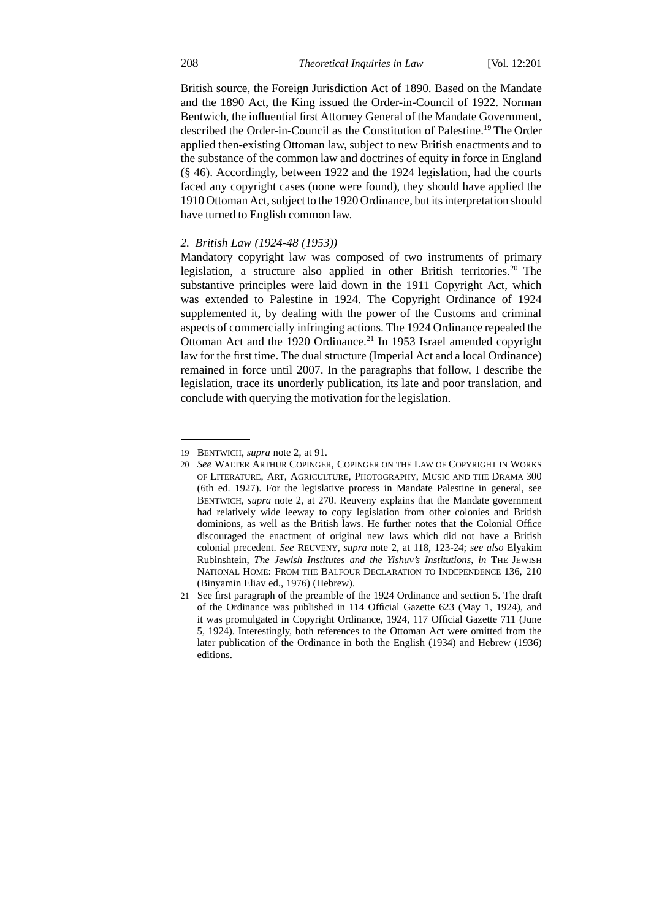British source, the Foreign Jurisdiction Act of 1890. Based on the Mandate and the 1890 Act, the King issued the Order-in-Council of 1922. Norman Bentwich, the influential first Attorney General of the Mandate Government, described the Order-in-Council as the Constitution of Palestine.<sup>19</sup> The Order applied then-existing Ottoman law, subject to new British enactments and to the substance of the common law and doctrines of equity in force in England (§ 46). Accordingly, between 1922 and the 1924 legislation, had the courts faced any copyright cases (none were found), they should have applied the 1910 Ottoman Act, subject to the 1920 Ordinance, but its interpretation should have turned to English common law.

# *2. British Law (1924-48 (1953))*

Mandatory copyright law was composed of two instruments of primary legislation, a structure also applied in other British territories.20 The substantive principles were laid down in the 1911 Copyright Act, which was extended to Palestine in 1924. The Copyright Ordinance of 1924 supplemented it, by dealing with the power of the Customs and criminal aspects of commercially infringing actions. The 1924 Ordinance repealed the Ottoman Act and the 1920 Ordinance.<sup>21</sup> In 1953 Israel amended copyright law for the first time. The dual structure (Imperial Act and a local Ordinance) remained in force until 2007. In the paragraphs that follow, I describe the legislation, trace its unorderly publication, its late and poor translation, and conclude with querying the motivation for the legislation.

<sup>19</sup> BENTWICH, *supra* note 2, at 91.

<sup>20</sup> *See* WALTER ARTHUR COPINGER, COPINGER ON THE LAW OF COPYRIGHT IN WORKS OF LITERATURE, ART, AGRICULTURE, PHOTOGRAPHY, MUSIC AND THE DRAMA 300 (6th ed. 1927). For the legislative process in Mandate Palestine in general, see BENTWICH, *supra* note 2, at 270. Reuveny explains that the Mandate government had relatively wide leeway to copy legislation from other colonies and British dominions, as well as the British laws. He further notes that the Colonial Office discouraged the enactment of original new laws which did not have a British colonial precedent. *See* REUVENY, *supra* note 2, at 118, 123-24; *see also* Elyakim Rubinshtein, *The Jewish Institutes and the Yishuv's Institutions*, *in* THE JEWISH NATIONAL HOME: FROM THE BALFOUR DECLARATION TO INDEPENDENCE 136, 210 (Binyamin Eliav ed., 1976) (Hebrew).

<sup>21</sup> See first paragraph of the preamble of the 1924 Ordinance and section 5. The draft of the Ordinance was published in 114 Official Gazette 623 (May 1, 1924), and it was promulgated in Copyright Ordinance, 1924, 117 Official Gazette 711 (June 5, 1924). Interestingly, both references to the Ottoman Act were omitted from the later publication of the Ordinance in both the English (1934) and Hebrew (1936) editions.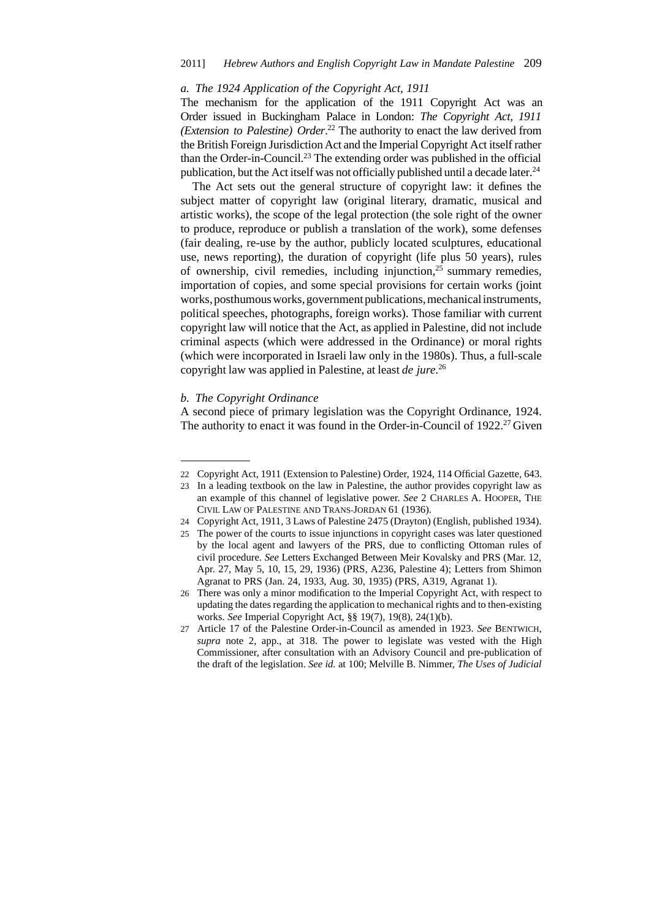#### 2011] *Hebrew Authors and English Copyright Law in Mandate Palestine* 209

#### *a. The 1924 Application of the Copyright Act, 1911*

The mechanism for the application of the 1911 Copyright Act was an Order issued in Buckingham Palace in London: *The Copyright Act, 1911 (Extension to Palestine) Order*. <sup>22</sup> The authority to enact the law derived from the British Foreign Jurisdiction Act and the Imperial Copyright Act itself rather than the Order-in-Council.<sup>23</sup> The extending order was published in the official publication, but the Act itself was not officially published until a decade later. $^{24}$ 

The Act sets out the general structure of copyright law: it defines the subject matter of copyright law (original literary, dramatic, musical and artistic works), the scope of the legal protection (the sole right of the owner to produce, reproduce or publish a translation of the work), some defenses (fair dealing, re-use by the author, publicly located sculptures, educational use, news reporting), the duration of copyright (life plus 50 years), rules of ownership, civil remedies, including injunction, $25$  summary remedies, importation of copies, and some special provisions for certain works (joint works, posthumous works, government publications, mechanical instruments, political speeches, photographs, foreign works). Those familiar with current copyright law will notice that the Act, as applied in Palestine, did not include criminal aspects (which were addressed in the Ordinance) or moral rights (which were incorporated in Israeli law only in the 1980s). Thus, a full-scale copyright law was applied in Palestine, at least *de jure*. 26

## *b. The Copyright Ordinance*

A second piece of primary legislation was the Copyright Ordinance, 1924. The authority to enact it was found in the Order-in-Council of 1922.<sup>27</sup> Given

<sup>22</sup> Copyright Act, 1911 (Extension to Palestine) Order, 1924, 114 Official Gazette, 643.

<sup>23</sup> In a leading textbook on the law in Palestine, the author provides copyright law as an example of this channel of legislative power. *See* 2 CHARLES A. HOOPER, THE CIVIL LAW OF PALESTINE AND TRANS-JORDAN 61 (1936).

<sup>24</sup> Copyright Act, 1911, 3 Laws of Palestine 2475 (Drayton) (English, published 1934).

<sup>25</sup> The power of the courts to issue injunctions in copyright cases was later questioned by the local agent and lawyers of the PRS, due to conflicting Ottoman rules of civil procedure. *See* Letters Exchanged Between Meir Kovalsky and PRS (Mar. 12, Apr. 27, May 5, 10, 15, 29, 1936) (PRS, A236, Palestine 4); Letters from Shimon Agranat to PRS (Jan. 24, 1933, Aug. 30, 1935) (PRS, A319, Agranat 1).

<sup>26</sup> There was only a minor modification to the Imperial Copyright Act, with respect to updating the dates regarding the application to mechanical rights and to then-existing works. *See* Imperial Copyright Act, §§ 19(7), 19(8), 24(1)(b).

<sup>27</sup> Article 17 of the Palestine Order-in-Council as amended in 1923. *See* BENTWICH, *supra* note 2, app., at 318. The power to legislate was vested with the High Commissioner, after consultation with an Advisory Council and pre-publication of the draft of the legislation. *See id.* at 100; Melville B. Nimmer, *The Uses of Judicial*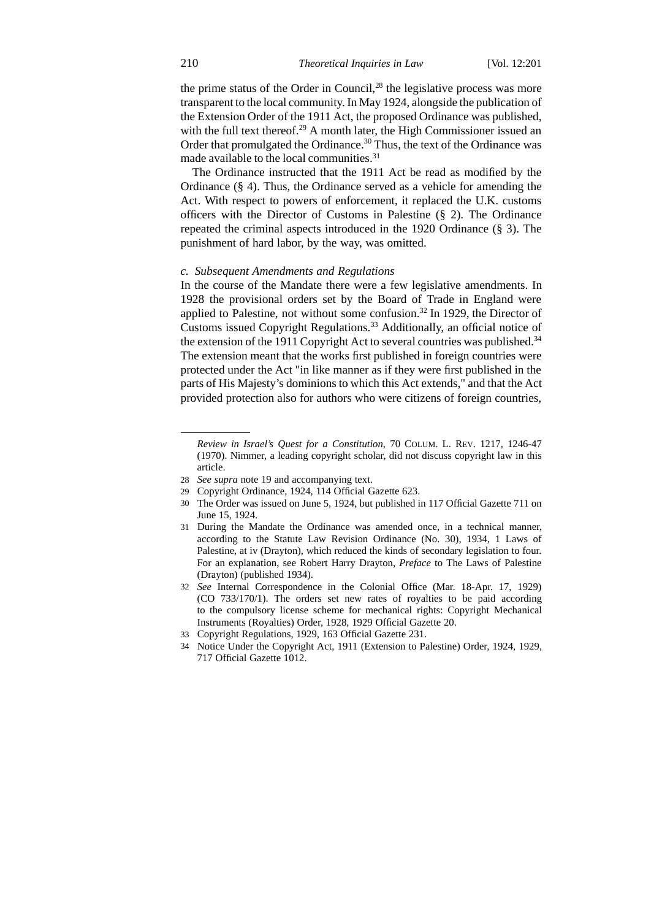the prime status of the Order in Council, $28$  the legislative process was more transparent to the local community. In May 1924, alongside the publication of the Extension Order of the 1911 Act, the proposed Ordinance was published, with the full text thereof.<sup>29</sup> A month later, the High Commissioner issued an Order that promulgated the Ordinance.<sup>30</sup> Thus, the text of the Ordinance was made available to the local communities.<sup>31</sup>

The Ordinance instructed that the 1911 Act be read as modified by the Ordinance (§ 4). Thus, the Ordinance served as a vehicle for amending the Act. With respect to powers of enforcement, it replaced the U.K. customs officers with the Director of Customs in Palestine (§ 2). The Ordinance repeated the criminal aspects introduced in the 1920 Ordinance (§ 3). The punishment of hard labor, by the way, was omitted.

# *c. Subsequent Amendments and Regulations*

In the course of the Mandate there were a few legislative amendments. In 1928 the provisional orders set by the Board of Trade in England were applied to Palestine, not without some confusion.<sup>32</sup> In 1929, the Director of Customs issued Copyright Regulations.33 Additionally, an official notice of the extension of the 1911 Copyright Act to several countries was published.<sup>34</sup> The extension meant that the works first published in foreign countries were protected under the Act "in like manner as if they were first published in the parts of His Majesty's dominions to which this Act extends," and that the Act provided protection also for authors who were citizens of foreign countries,

*Review in Israel's Quest for a Constitution*, 70 COLUM. L. REV. 1217, 1246-47 (1970). Nimmer, a leading copyright scholar, did not discuss copyright law in this article.

<sup>28</sup> *See supra* note 19 and accompanying text.

<sup>29</sup> Copyright Ordinance, 1924, 114 Official Gazette 623.

<sup>30</sup> The Order was issued on June 5, 1924, but published in 117 Official Gazette 711 on June 15, 1924.

<sup>31</sup> During the Mandate the Ordinance was amended once, in a technical manner, according to the Statute Law Revision Ordinance (No. 30), 1934, 1 Laws of Palestine, at iv (Drayton), which reduced the kinds of secondary legislation to four. For an explanation, see Robert Harry Drayton, *Preface* to The Laws of Palestine (Drayton) (published 1934).

<sup>32</sup> *See* Internal Correspondence in the Colonial Office (Mar. 18-Apr. 17, 1929) (CO 733/170/1). The orders set new rates of royalties to be paid according to the compulsory license scheme for mechanical rights: Copyright Mechanical Instruments (Royalties) Order, 1928, 1929 Official Gazette 20.

<sup>33</sup> Copyright Regulations, 1929, 163 Official Gazette 231.

<sup>34</sup> Notice Under the Copyright Act, 1911 (Extension to Palestine) Order, 1924, 1929, 717 Official Gazette 1012.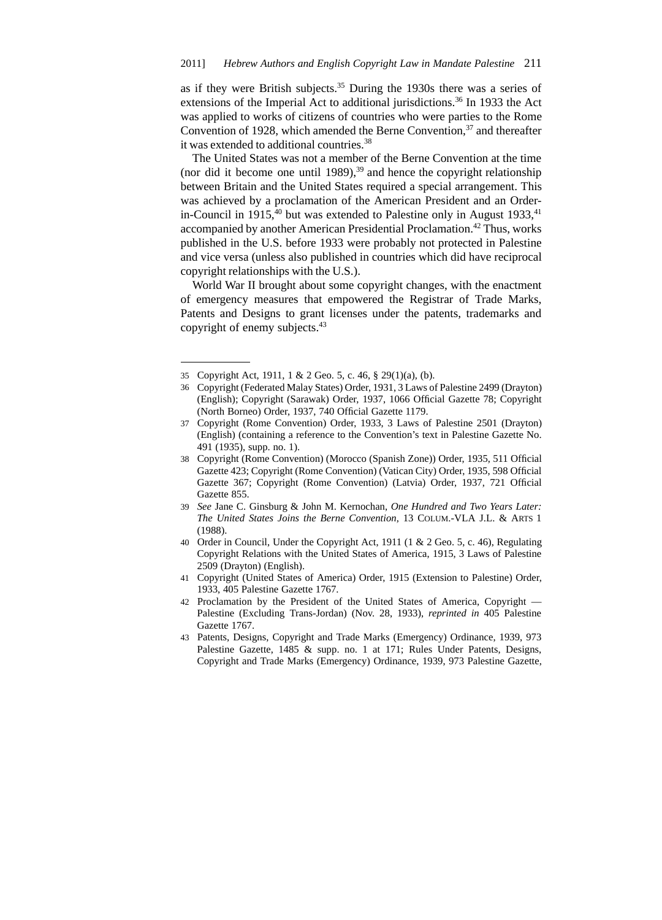as if they were British subjects.<sup>35</sup> During the 1930s there was a series of extensions of the Imperial Act to additional jurisdictions.<sup>36</sup> In 1933 the Act was applied to works of citizens of countries who were parties to the Rome Convention of 1928, which amended the Berne Convention,  $37$  and thereafter it was extended to additional countries.<sup>38</sup>

The United States was not a member of the Berne Convention at the time (nor did it become one until 1989),<sup>39</sup> and hence the copyright relationship between Britain and the United States required a special arrangement. This was achieved by a proclamation of the American President and an Orderin-Council in  $1915$ ,  $40$  but was extended to Palestine only in August 1933,  $41$ accompanied by another American Presidential Proclamation.<sup>42</sup> Thus, works published in the U.S. before 1933 were probably not protected in Palestine and vice versa (unless also published in countries which did have reciprocal copyright relationships with the U.S.).

World War II brought about some copyright changes, with the enactment of emergency measures that empowered the Registrar of Trade Marks, Patents and Designs to grant licenses under the patents, trademarks and copyright of enemy subjects.43

- 37 Copyright (Rome Convention) Order, 1933, 3 Laws of Palestine 2501 (Drayton) (English) (containing a reference to the Convention's text in Palestine Gazette No. 491 (1935), supp. no. 1).
- 38 Copyright (Rome Convention) (Morocco (Spanish Zone)) Order, 1935, 511 Official Gazette 423; Copyright (Rome Convention) (Vatican City) Order, 1935, 598 Official Gazette 367; Copyright (Rome Convention) (Latvia) Order, 1937, 721 Official Gazette 855.
- 39 *See* Jane C. Ginsburg & John M. Kernochan, *One Hundred and Two Years Later: The United States Joins the Berne Convention*, 13 COLUM.-VLA J.L. & ARTS 1 (1988).
- 40 Order in Council, Under the Copyright Act, 1911 (1 & 2 Geo. 5, c. 46), Regulating Copyright Relations with the United States of America, 1915, 3 Laws of Palestine 2509 (Drayton) (English).
- 41 Copyright (United States of America) Order, 1915 (Extension to Palestine) Order, 1933, 405 Palestine Gazette 1767.
- 42 Proclamation by the President of the United States of America, Copyright Palestine (Excluding Trans-Jordan) (Nov. 28, 1933), *reprinted in* 405 Palestine Gazette 1767.
- 43 Patents, Designs, Copyright and Trade Marks (Emergency) Ordinance, 1939, 973 Palestine Gazette, 1485 & supp. no. 1 at 171; Rules Under Patents, Designs, Copyright and Trade Marks (Emergency) Ordinance, 1939, 973 Palestine Gazette,

<sup>35</sup> Copyright Act, 1911,1&2 Geo. 5, c. 46, § 29(1)(a), (b).

<sup>36</sup> Copyright (Federated Malay States) Order, 1931, 3 Laws of Palestine 2499 (Drayton) (English); Copyright (Sarawak) Order, 1937, 1066 Official Gazette 78; Copyright (North Borneo) Order, 1937, 740 Official Gazette 1179.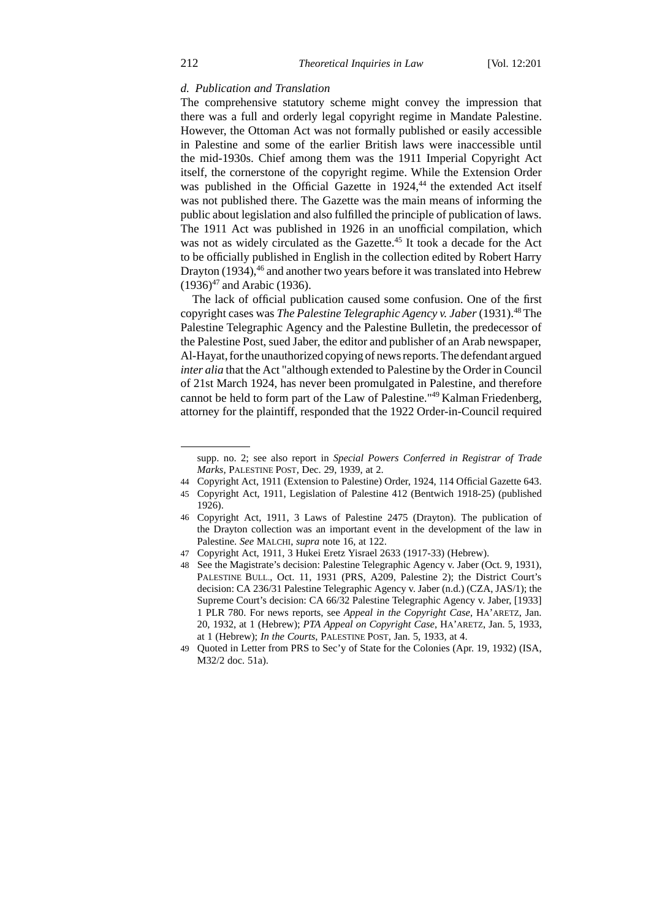#### *d. Publication and Translation*

The comprehensive statutory scheme might convey the impression that there was a full and orderly legal copyright regime in Mandate Palestine. However, the Ottoman Act was not formally published or easily accessible in Palestine and some of the earlier British laws were inaccessible until the mid-1930s. Chief among them was the 1911 Imperial Copyright Act itself, the cornerstone of the copyright regime. While the Extension Order was published in the Official Gazette in 1924,<sup>44</sup> the extended Act itself was not published there. The Gazette was the main means of informing the public about legislation and also fulfilled the principle of publication of laws. The 1911 Act was published in 1926 in an unofficial compilation, which was not as widely circulated as the Gazette.<sup>45</sup> It took a decade for the Act to be officially published in English in the collection edited by Robert Harry Drayton  $(1934)$ ,  $46$  and another two years before it was translated into Hebrew  $(1936)^{47}$  and Arabic (1936).

The lack of official publication caused some confusion. One of the first copyright cases was *The Palestine Telegraphic Agency v. Jaber* (1931).48The Palestine Telegraphic Agency and the Palestine Bulletin, the predecessor of the Palestine Post, sued Jaber, the editor and publisher of an Arab newspaper, Al-Hayat, for the unauthorized copying of news reports. The defendant argued *inter alia* that the Act "although extended to Palestine by the Order in Council of 21st March 1924, has never been promulgated in Palestine, and therefore cannot be held to form part of the Law of Palestine."49 Kalman Friedenberg, attorney for the plaintiff, responded that the 1922 Order-in-Council required

44 Copyright Act, 1911 (Extension to Palestine) Order, 1924, 114 Official Gazette 643.

supp. no. 2; see also report in *Special Powers Conferred in Registrar of Trade Marks*, PALESTINE POST, Dec. 29, 1939, at 2.

<sup>45</sup> Copyright Act, 1911, Legislation of Palestine 412 (Bentwich 1918-25) (published 1926).

<sup>46</sup> Copyright Act, 1911, 3 Laws of Palestine 2475 (Drayton). The publication of the Drayton collection was an important event in the development of the law in Palestine. *See* MALCHI, *supra* note 16, at 122.

<sup>47</sup> Copyright Act, 1911, 3 Hukei Eretz Yisrael 2633 (1917-33) (Hebrew).

<sup>48</sup> See the Magistrate's decision: Palestine Telegraphic Agency v. Jaber (Oct. 9, 1931), PALESTINE BULL., Oct. 11, 1931 (PRS, A209, Palestine 2); the District Court's decision: CA 236/31 Palestine Telegraphic Agency v. Jaber (n.d.) (CZA, JAS/1); the Supreme Court's decision: CA 66/32 Palestine Telegraphic Agency v. Jaber, [1933] 1 PLR 780. For news reports, see *Appeal in the Copyright Case*, HA'ARETZ, Jan. 20, 1932, at 1 (Hebrew); *PTA Appeal on Copyright Case*, HA'ARETZ, Jan. 5, 1933, at 1 (Hebrew); *In the Courts*, PALESTINE POST, Jan. 5, 1933, at 4.

<sup>49</sup> Quoted in Letter from PRS to Sec'y of State for the Colonies (Apr. 19, 1932) (ISA, M32/2 doc. 51a).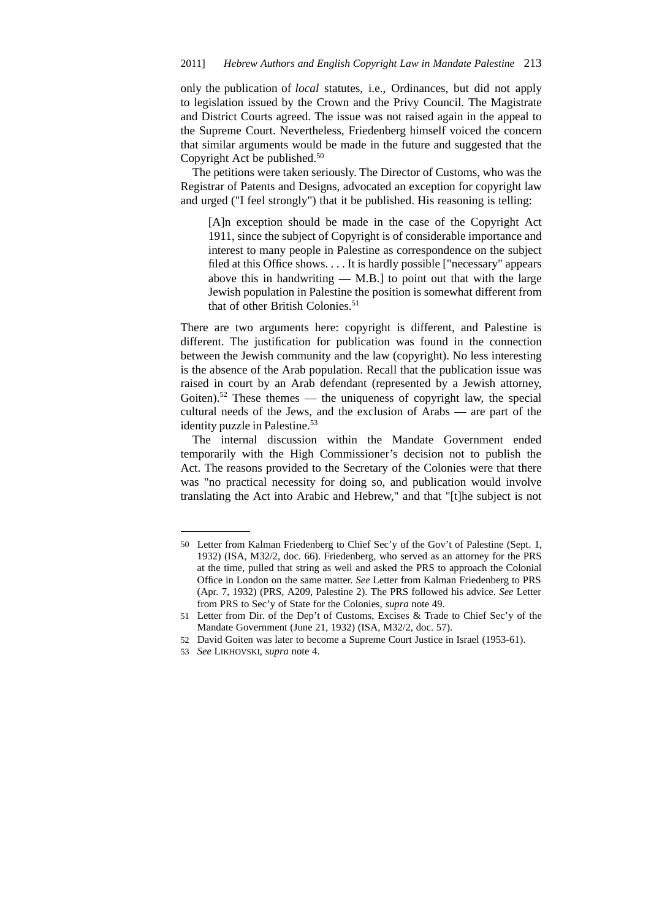only the publication of *local* statutes, i.e., Ordinances, but did not apply to legislation issued by the Crown and the Privy Council. The Magistrate and District Courts agreed. The issue was not raised again in the appeal to the Supreme Court. Nevertheless, Friedenberg himself voiced the concern that similar arguments would be made in the future and suggested that the Copyright Act be published.<sup>50</sup>

The petitions were taken seriously. The Director of Customs, who was the Registrar of Patents and Designs, advocated an exception for copyright law and urged ("I feel strongly") that it be published. His reasoning is telling:

[A]n exception should be made in the case of the Copyright Act 1911, since the subject of Copyright is of considerable importance and interest to many people in Palestine as correspondence on the subject filed at this Office shows. . . . It is hardly possible ["necessary" appears above this in handwriting  $-$  M.B.] to point out that with the large Jewish population in Palestine the position is somewhat different from that of other British Colonies.<sup>51</sup>

There are two arguments here: copyright is different, and Palestine is different. The justification for publication was found in the connection between the Jewish community and the law (copyright). No less interesting is the absence of the Arab population. Recall that the publication issue was raised in court by an Arab defendant (represented by a Jewish attorney, Goiten).<sup>52</sup> These themes — the uniqueness of copyright law, the special cultural needs of the Jews, and the exclusion of Arabs — are part of the identity puzzle in Palestine.<sup>53</sup>

The internal discussion within the Mandate Government ended temporarily with the High Commissioner's decision not to publish the Act. The reasons provided to the Secretary of the Colonies were that there was "no practical necessity for doing so, and publication would involve translating the Act into Arabic and Hebrew," and that "[t]he subject is not

<sup>50</sup> Letter from Kalman Friedenberg to Chief Sec'y of the Gov't of Palestine (Sept. 1, 1932) (ISA, M32/2, doc. 66). Friedenberg, who served as an attorney for the PRS at the time, pulled that string as well and asked the PRS to approach the Colonial Office in London on the same matter. *See* Letter from Kalman Friedenberg to PRS (Apr. 7, 1932) (PRS, A209, Palestine 2). The PRS followed his advice. *See* Letter from PRS to Sec'y of State for the Colonies, *supra* note 49.

<sup>51</sup> Letter from Dir. of the Dep't of Customs, Excises & Trade to Chief Sec'y of the Mandate Government (June 21, 1932) (ISA, M32/2, doc. 57).

<sup>52</sup> David Goiten was later to become a Supreme Court Justice in Israel (1953-61).

<sup>53</sup> *See* LIKHOVSKI, *supra* note 4.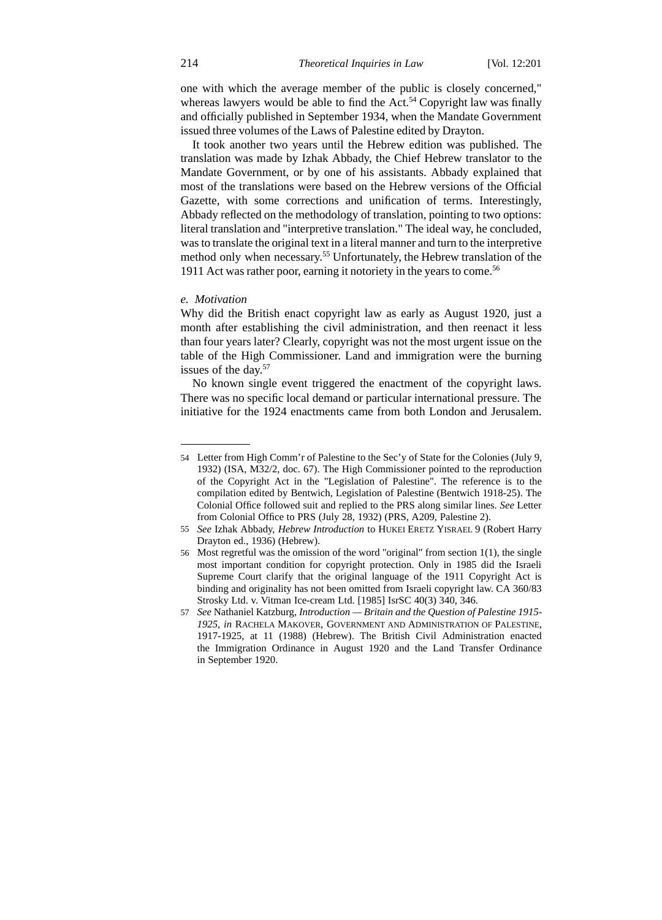one with which the average member of the public is closely concerned," whereas lawyers would be able to find the Act.<sup>54</sup> Copyright law was finally and officially published in September 1934, when the Mandate Government issued three volumes of the Laws of Palestine edited by Drayton.

It took another two years until the Hebrew edition was published. The translation was made by Izhak Abbady, the Chief Hebrew translator to the Mandate Government, or by one of his assistants. Abbady explained that most of the translations were based on the Hebrew versions of the Official Gazette, with some corrections and unification of terms. Interestingly, Abbady reflected on the methodology of translation, pointing to two options: literal translation and "interpretive translation." The ideal way, he concluded, was to translate the original text in a literal manner and turn to the interpretive method only when necessary.<sup>55</sup> Unfortunately, the Hebrew translation of the 1911 Act was rather poor, earning it notoriety in the years to come.<sup>56</sup>

#### *e. Motivation*

Why did the British enact copyright law as early as August 1920, just a month after establishing the civil administration, and then reenact it less than four years later? Clearly, copyright was not the most urgent issue on the table of the High Commissioner. Land and immigration were the burning issues of the day.57

No known single event triggered the enactment of the copyright laws. There was no specific local demand or particular international pressure. The initiative for the 1924 enactments came from both London and Jerusalem.

<sup>54</sup> Letter from High Comm'r of Palestine to the Sec'y of State for the Colonies (July 9, 1932) (ISA, M32/2, doc. 67). The High Commissioner pointed to the reproduction of the Copyright Act in the "Legislation of Palestine". The reference is to the compilation edited by Bentwich, Legislation of Palestine (Bentwich 1918-25). The Colonial Office followed suit and replied to the PRS along similar lines. *See* Letter from Colonial Office to PRS (July 28, 1932) (PRS, A209, Palestine 2).

<sup>55</sup> *See* Izhak Abbady, *Hebrew Introduction* to HUKEI ERETZ YISRAEL 9 (Robert Harry Drayton ed., 1936) (Hebrew).

<sup>56</sup> Most regretful was the omission of the word "original" from section 1(1), the single most important condition for copyright protection. Only in 1985 did the Israeli Supreme Court clarify that the original language of the 1911 Copyright Act is binding and originality has not been omitted from Israeli copyright law. CA 360/83 Strosky Ltd. v. Vitman Ice-cream Ltd. [1985] IsrSC 40(3) 340, 346.

<sup>57</sup> *See* Nathaniel Katzburg, *Introduction — Britain and the Question of Palestine 1915- 1925*, *in* RACHELA MAKOVER, GOVERNMENT AND ADMINISTRATION OF PALESTINE, 1917-1925, at 11 (1988) (Hebrew). The British Civil Administration enacted the Immigration Ordinance in August 1920 and the Land Transfer Ordinance in September 1920.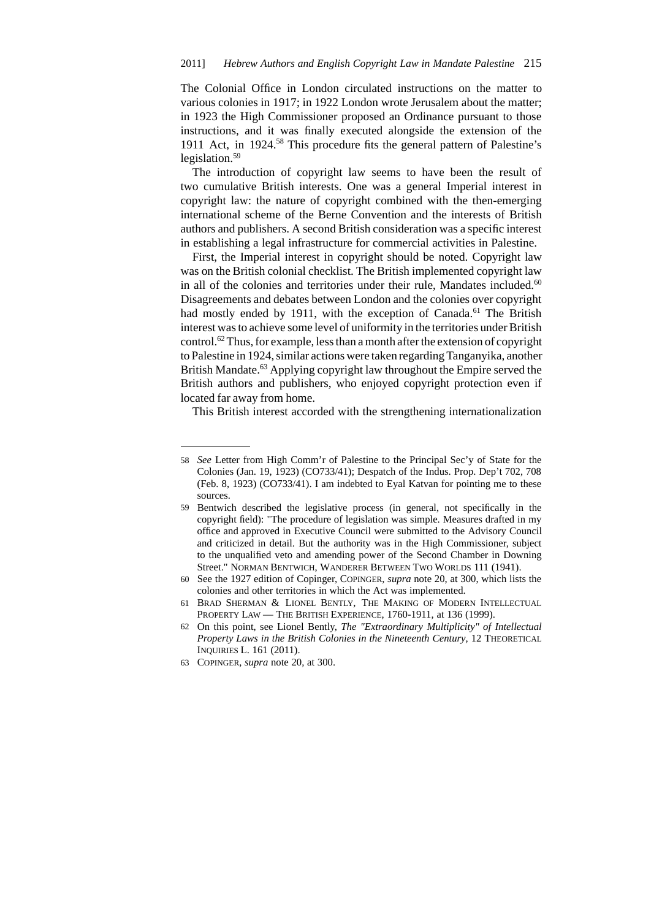The Colonial Office in London circulated instructions on the matter to various colonies in 1917; in 1922 London wrote Jerusalem about the matter; in 1923 the High Commissioner proposed an Ordinance pursuant to those instructions, and it was finally executed alongside the extension of the 1911 Act, in 1924.<sup>58</sup> This procedure fits the general pattern of Palestine's legislation.59

The introduction of copyright law seems to have been the result of two cumulative British interests. One was a general Imperial interest in copyright law: the nature of copyright combined with the then-emerging international scheme of the Berne Convention and the interests of British authors and publishers. A second British consideration was a specific interest in establishing a legal infrastructure for commercial activities in Palestine.

First, the Imperial interest in copyright should be noted. Copyright law was on the British colonial checklist. The British implemented copyright law in all of the colonies and territories under their rule, Mandates included. $60$ Disagreements and debates between London and the colonies over copyright had mostly ended by 1911, with the exception of Canada.<sup>61</sup> The British interest was to achieve some level of uniformity in the territories under British control.62Thus, for example, less than a month after the extension of copyright to Palestine in 1924, similar actions were taken regarding Tanganyika, another British Mandate.<sup>63</sup> Applying copyright law throughout the Empire served the British authors and publishers, who enjoyed copyright protection even if located far away from home.

This British interest accorded with the strengthening internationalization

<sup>58</sup> *See* Letter from High Comm'r of Palestine to the Principal Sec'y of State for the Colonies (Jan. 19, 1923) (CO733/41); Despatch of the Indus. Prop. Dep't 702, 708 (Feb. 8, 1923) (CO733/41). I am indebted to Eyal Katvan for pointing me to these sources.

<sup>59</sup> Bentwich described the legislative process (in general, not specifically in the copyright field): "The procedure of legislation was simple. Measures drafted in my office and approved in Executive Council were submitted to the Advisory Council and criticized in detail. But the authority was in the High Commissioner, subject to the unqualified veto and amending power of the Second Chamber in Downing Street." NORMAN BENTWICH, WANDERER BETWEEN TWO WORLDS 111 (1941).

<sup>60</sup> See the 1927 edition of Copinger, COPINGER, *supra* note 20, at 300, which lists the colonies and other territories in which the Act was implemented.

<sup>61</sup> BRAD SHERMAN & LIONEL BENTLY, THE MAKING OF MODERN INTELLECTUAL PROPERTY LAW — THE BRITISH EXPERIENCE, 1760-1911, at 136 (1999).

<sup>62</sup> On this point, see Lionel Bently, *The "Extraordinary Multiplicity" of Intellectual Property Laws in the British Colonies in the Nineteenth Century*, 12 THEORETICAL INQUIRIES L. 161 (2011).

<sup>63</sup> COPINGER, *supra* note 20, at 300.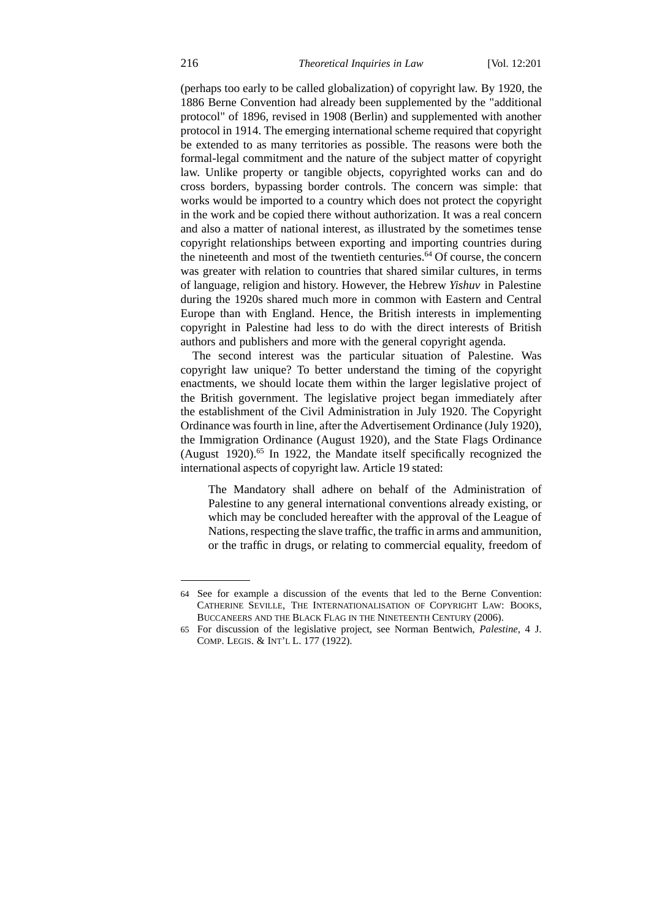(perhaps too early to be called globalization) of copyright law. By 1920, the 1886 Berne Convention had already been supplemented by the "additional protocol" of 1896, revised in 1908 (Berlin) and supplemented with another protocol in 1914. The emerging international scheme required that copyright be extended to as many territories as possible. The reasons were both the formal-legal commitment and the nature of the subject matter of copyright law. Unlike property or tangible objects, copyrighted works can and do cross borders, bypassing border controls. The concern was simple: that works would be imported to a country which does not protect the copyright in the work and be copied there without authorization. It was a real concern and also a matter of national interest, as illustrated by the sometimes tense copyright relationships between exporting and importing countries during the nineteenth and most of the twentieth centuries.<sup> $64$ </sup> Of course, the concern was greater with relation to countries that shared similar cultures, in terms of language, religion and history. However, the Hebrew *Yishuv* in Palestine during the 1920s shared much more in common with Eastern and Central Europe than with England. Hence, the British interests in implementing copyright in Palestine had less to do with the direct interests of British authors and publishers and more with the general copyright agenda.

The second interest was the particular situation of Palestine. Was copyright law unique? To better understand the timing of the copyright enactments, we should locate them within the larger legislative project of the British government. The legislative project began immediately after the establishment of the Civil Administration in July 1920. The Copyright Ordinance was fourth in line, after the Advertisement Ordinance (July 1920), the Immigration Ordinance (August 1920), and the State Flags Ordinance (August 1920).65 In 1922, the Mandate itself specifically recognized the international aspects of copyright law. Article 19 stated:

The Mandatory shall adhere on behalf of the Administration of Palestine to any general international conventions already existing, or which may be concluded hereafter with the approval of the League of Nations, respecting the slave traffic, the traffic in arms and ammunition, or the traffic in drugs, or relating to commercial equality, freedom of

<sup>64</sup> See for example a discussion of the events that led to the Berne Convention: CATHERINE SEVILLE, THE INTERNATIONALISATION OF COPYRIGHT LAW: BOOKS, BUCCANEERS AND THE BLACK FLAG IN THE NINETEENTH CENTURY (2006).

<sup>65</sup> For discussion of the legislative project, see Norman Bentwich, *Palestine*, 4 J. COMP. LEGIS.&INT'L L. 177 (1922).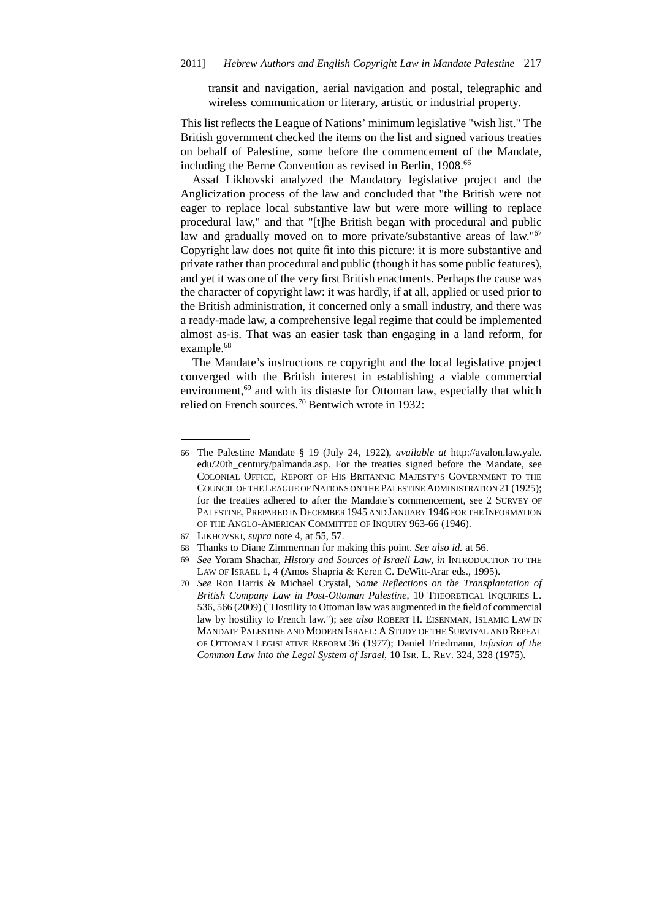transit and navigation, aerial navigation and postal, telegraphic and wireless communication or literary, artistic or industrial property.

This list reflects the League of Nations' minimum legislative "wish list." The British government checked the items on the list and signed various treaties on behalf of Palestine, some before the commencement of the Mandate, including the Berne Convention as revised in Berlin, 1908.<sup>66</sup>

Assaf Likhovski analyzed the Mandatory legislative project and the Anglicization process of the law and concluded that "the British were not eager to replace local substantive law but were more willing to replace procedural law," and that "[t]he British began with procedural and public law and gradually moved on to more private/substantive areas of law."<sup>67</sup> Copyright law does not quite fit into this picture: it is more substantive and private rather than procedural and public (though it has some public features), and yet it was one of the very first British enactments. Perhaps the cause was the character of copyright law: it was hardly, if at all, applied or used prior to the British administration, it concerned only a small industry, and there was a ready-made law, a comprehensive legal regime that could be implemented almost as-is. That was an easier task than engaging in a land reform, for example.<sup>68</sup>

The Mandate's instructions re copyright and the local legislative project converged with the British interest in establishing a viable commercial environment,<sup>69</sup> and with its distaste for Ottoman law, especially that which relied on French sources.<sup>70</sup> Bentwich wrote in 1932:

<sup>66</sup> The Palestine Mandate § 19 (July 24, 1922), *available at* http://avalon.law.yale. edu/20th\_century/palmanda.asp. For the treaties signed before the Mandate, see COLONIAL OFFICE, REPORT OF HIS BRITANNIC MAJESTY'S GOVERNMENT TO THE COUNCIL OF THE LEAGUE OF NATIONS ON THE PALESTINE ADMINISTRATION 21 (1925); for the treaties adhered to after the Mandate's commencement, see 2 SURVEY OF PALESTINE, PREPARED IN DECEMBER 1945 AND JANUARY 1946 FOR THE INFORMATION OF THE ANGLO-AMERICAN COMMITTEE OF INQUIRY 963-66 (1946).

<sup>67</sup> LIKHOVSKI, *supra* note 4, at 55, 57.

<sup>68</sup> Thanks to Diane Zimmerman for making this point. *See also id.* at 56.

<sup>69</sup> *See* Yoram Shachar, *History and Sources of Israeli Law*, *in* INTRODUCTION TO THE LAW OF ISRAEL 1, 4 (Amos Shapria & Keren C. DeWitt-Arar eds., 1995).

<sup>70</sup> *See* Ron Harris & Michael Crystal, *Some Reflections on the Transplantation of British Company Law in Post-Ottoman Palestine*, 10 THEORETICAL INQUIRIES L. 536, 566 (2009) ("Hostility to Ottoman law was augmented in the field of commercial law by hostility to French law."); *see also* ROBERT H. EISENMAN, ISLAMIC LAW IN MANDATE PALESTINE AND MODERN ISRAEL:ASTUDY OF THE SURVIVAL AND REPEAL OF OTTOMAN LEGISLATIVE REFORM 36 (1977); Daniel Friedmann, *Infusion of the Common Law into the Legal System of Israel*, 10 ISR. L. REV. 324, 328 (1975).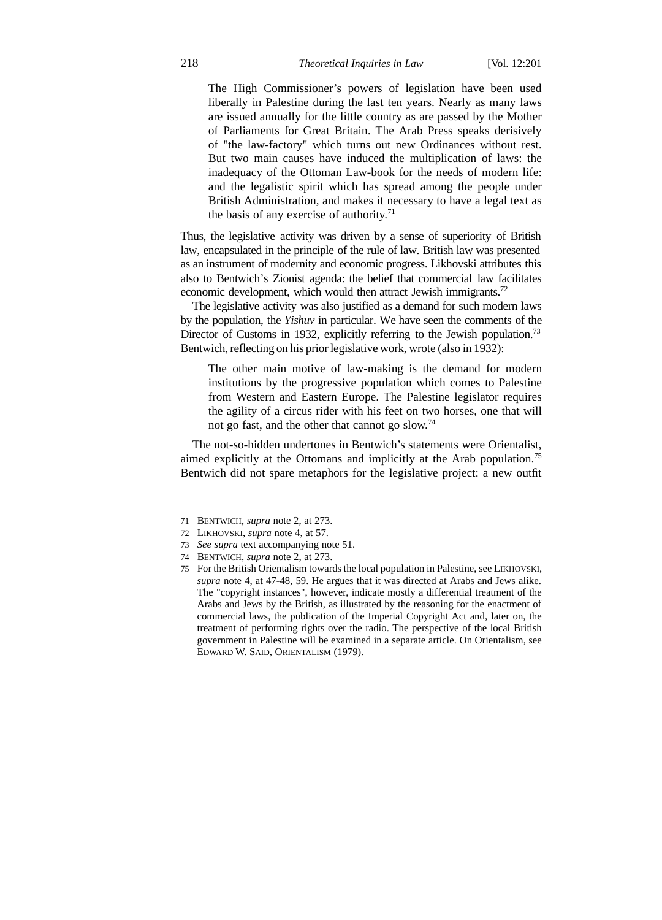The High Commissioner's powers of legislation have been used liberally in Palestine during the last ten years. Nearly as many laws are issued annually for the little country as are passed by the Mother of Parliaments for Great Britain. The Arab Press speaks derisively of "the law-factory" which turns out new Ordinances without rest. But two main causes have induced the multiplication of laws: the inadequacy of the Ottoman Law-book for the needs of modern life: and the legalistic spirit which has spread among the people under British Administration, and makes it necessary to have a legal text as the basis of any exercise of authority.<sup>71</sup>

Thus, the legislative activity was driven by a sense of superiority of British law, encapsulated in the principle of the rule of law. British law was presented as an instrument of modernity and economic progress. Likhovski attributes this also to Bentwich's Zionist agenda: the belief that commercial law facilitates economic development, which would then attract Jewish immigrants.<sup>72</sup>

The legislative activity was also justified as a demand for such modern laws by the population, the *Yishuv* in particular. We have seen the comments of the Director of Customs in 1932, explicitly referring to the Jewish population.<sup>73</sup> Bentwich, reflecting on his prior legislative work, wrote (also in 1932):

The other main motive of law-making is the demand for modern institutions by the progressive population which comes to Palestine from Western and Eastern Europe. The Palestine legislator requires the agility of a circus rider with his feet on two horses, one that will not go fast, and the other that cannot go slow.74

The not-so-hidden undertones in Bentwich's statements were Orientalist, aimed explicitly at the Ottomans and implicitly at the Arab population.<sup>75</sup> Bentwich did not spare metaphors for the legislative project: a new outfit

<sup>71</sup> BENTWICH, *supra* note 2, at 273.

<sup>72</sup> LIKHOVSKI, *supra* note 4, at 57.

<sup>73</sup> *See supra* text accompanying note 51.

<sup>74</sup> BENTWICH, *supra* note 2, at 273.

<sup>75</sup> For the British Orientalism towards the local population in Palestine, see LIKHOVSKI, *supra* note 4, at 47-48, 59. He argues that it was directed at Arabs and Jews alike. The "copyright instances", however, indicate mostly a differential treatment of the Arabs and Jews by the British, as illustrated by the reasoning for the enactment of commercial laws, the publication of the Imperial Copyright Act and, later on, the treatment of performing rights over the radio. The perspective of the local British government in Palestine will be examined in a separate article. On Orientalism, see EDWARD W. SAID, ORIENTALISM (1979).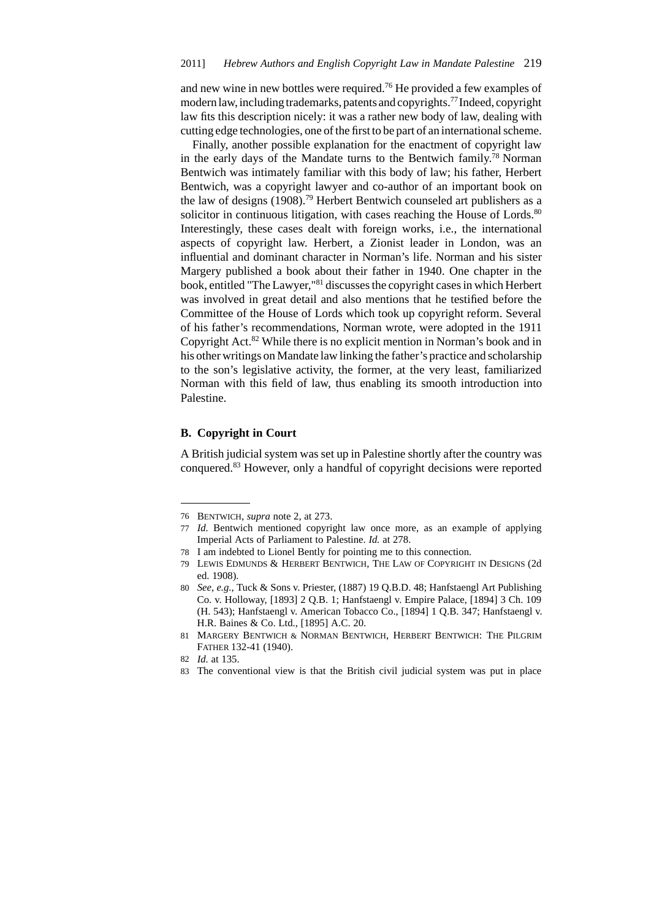and new wine in new bottles were required.76 He provided a few examples of modern law, including trademarks, patents and copyrights.<sup>77</sup>Indeed, copyright law fits this description nicely: it was a rather new body of law, dealing with cutting edge technologies, one of the first to be part of an international scheme.

Finally, another possible explanation for the enactment of copyright law in the early days of the Mandate turns to the Bentwich family.78 Norman Bentwich was intimately familiar with this body of law; his father, Herbert Bentwich, was a copyright lawyer and co-author of an important book on the law of designs  $(1908)$ <sup>79</sup> Herbert Bentwich counseled art publishers as a solicitor in continuous litigation, with cases reaching the House of Lords.<sup>80</sup> Interestingly, these cases dealt with foreign works, i.e., the international aspects of copyright law. Herbert, a Zionist leader in London, was an influential and dominant character in Norman's life. Norman and his sister Margery published a book about their father in 1940. One chapter in the book, entitled "The Lawyer,"81 discusses the copyright cases in which Herbert was involved in great detail and also mentions that he testified before the Committee of the House of Lords which took up copyright reform. Several of his father's recommendations, Norman wrote, were adopted in the 1911 Copyright Act.82 While there is no explicit mention in Norman's book and in his other writings on Mandate law linking the father's practice and scholarship to the son's legislative activity, the former, at the very least, familiarized Norman with this field of law, thus enabling its smooth introduction into Palestine.

# **B. Copyright in Court**

A British judicial system was set up in Palestine shortly after the country was conquered.83 However, only a handful of copyright decisions were reported

<sup>76</sup> BENTWICH, *supra* note 2, at 273.

<sup>77</sup> *Id.* Bentwich mentioned copyright law once more, as an example of applying Imperial Acts of Parliament to Palestine. *Id.* at 278.

<sup>78</sup> I am indebted to Lionel Bently for pointing me to this connection.

<sup>79</sup> LEWIS EDMUNDS & HERBERT BENTWICH, THE LAW OF COPYRIGHT IN DESIGNS (2d ed. 1908).

<sup>80</sup> *See, e.g.*, Tuck & Sons v. Priester, (1887) 19 Q.B.D. 48; Hanfstaengl Art Publishing Co. v. Holloway, [1893] 2 Q.B. 1; Hanfstaengl v. Empire Palace, [1894] 3 Ch. 109 (H. 543); Hanfstaengl v. American Tobacco Co., [1894] 1 Q.B. 347; Hanfstaengl v. H.R. Baines & Co. Ltd., [1895] A.C. 20.

<sup>81</sup> MARGERY BENTWICH & NORMAN BENTWICH, HERBERT BENTWICH: THE PILGRIM FATHER 132-41 (1940).

<sup>82</sup> *Id.* at 135.

<sup>83</sup> The conventional view is that the British civil judicial system was put in place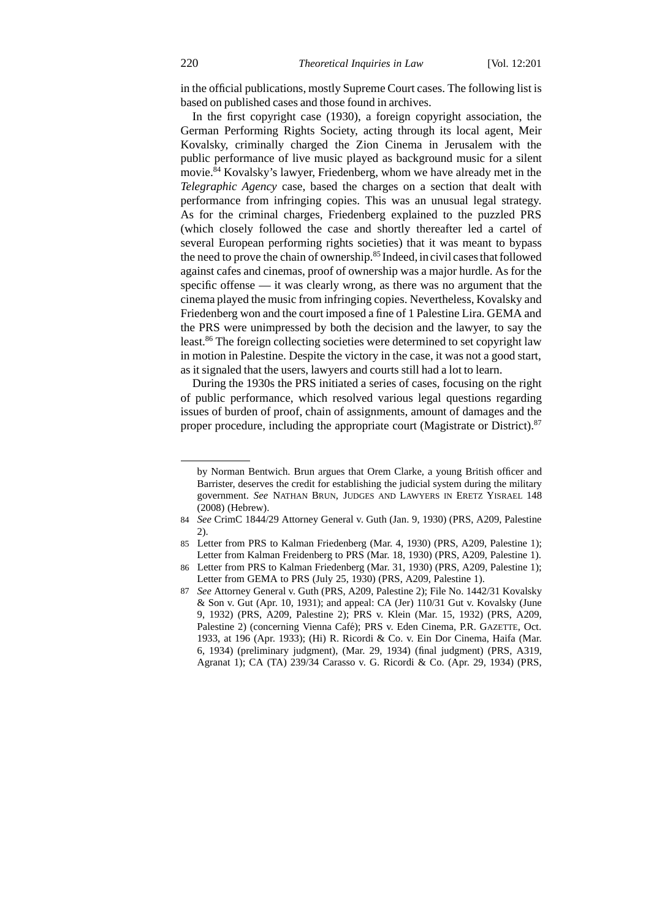in the official publications, mostly Supreme Court cases. The following list is based on published cases and those found in archives.

In the first copyright case (1930), a foreign copyright association, the German Performing Rights Society, acting through its local agent, Meir Kovalsky, criminally charged the Zion Cinema in Jerusalem with the public performance of live music played as background music for a silent movie.<sup>84</sup> Kovalsky's lawyer, Friedenberg, whom we have already met in the *Telegraphic Agency* case, based the charges on a section that dealt with performance from infringing copies. This was an unusual legal strategy. As for the criminal charges, Friedenberg explained to the puzzled PRS (which closely followed the case and shortly thereafter led a cartel of several European performing rights societies) that it was meant to bypass the need to prove the chain of ownership.<sup>85</sup> Indeed, in civil cases that followed against cafes and cinemas, proof of ownership was a major hurdle. As for the specific offense — it was clearly wrong, as there was no argument that the cinema played the music from infringing copies. Nevertheless, Kovalsky and Friedenberg won and the court imposed a fine of 1 Palestine Lira. GEMA and the PRS were unimpressed by both the decision and the lawyer, to say the least.<sup>86</sup> The foreign collecting societies were determined to set copyright law in motion in Palestine. Despite the victory in the case, it was not a good start, as it signaled that the users, lawyers and courts still had a lot to learn.

During the 1930s the PRS initiated a series of cases, focusing on the right of public performance, which resolved various legal questions regarding issues of burden of proof, chain of assignments, amount of damages and the proper procedure, including the appropriate court (Magistrate or District).<sup>87</sup>

by Norman Bentwich. Brun argues that Orem Clarke, a young British officer and Barrister, deserves the credit for establishing the judicial system during the military government. *See* NATHAN BRUN, JUDGES AND LAWYERS IN ERETZ YISRAEL 148 (2008) (Hebrew).

<sup>84</sup> *See* CrimC 1844/29 Attorney General v. Guth (Jan. 9, 1930) (PRS, A209, Palestine 2).

<sup>85</sup> Letter from PRS to Kalman Friedenberg (Mar. 4, 1930) (PRS, A209, Palestine 1); Letter from Kalman Freidenberg to PRS (Mar. 18, 1930) (PRS, A209, Palestine 1).

<sup>86</sup> Letter from PRS to Kalman Friedenberg (Mar. 31, 1930) (PRS, A209, Palestine 1); Letter from GEMA to PRS (July 25, 1930) (PRS, A209, Palestine 1).

<sup>87</sup> *See* Attorney General v. Guth (PRS, A209, Palestine 2); File No. 1442/31 Kovalsky & Son v. Gut (Apr. 10, 1931); and appeal: CA (Jer) 110/31 Gut v. Kovalsky (June 9, 1932) (PRS, A209, Palestine 2); PRS v. Klein (Mar. 15, 1932) (PRS, A209, Palestine 2) (concerning Vienna Café); PRS v. Eden Cinema, P.R. GAZETTE, Oct. 1933, at 196 (Apr. 1933); (Hi) R. Ricordi & Co. v. Ein Dor Cinema, Haifa (Mar. 6, 1934) (preliminary judgment), (Mar. 29, 1934) (final judgment) (PRS, A319, Agranat 1); CA (TA) 239/34 Carasso v. G. Ricordi & Co. (Apr. 29, 1934) (PRS,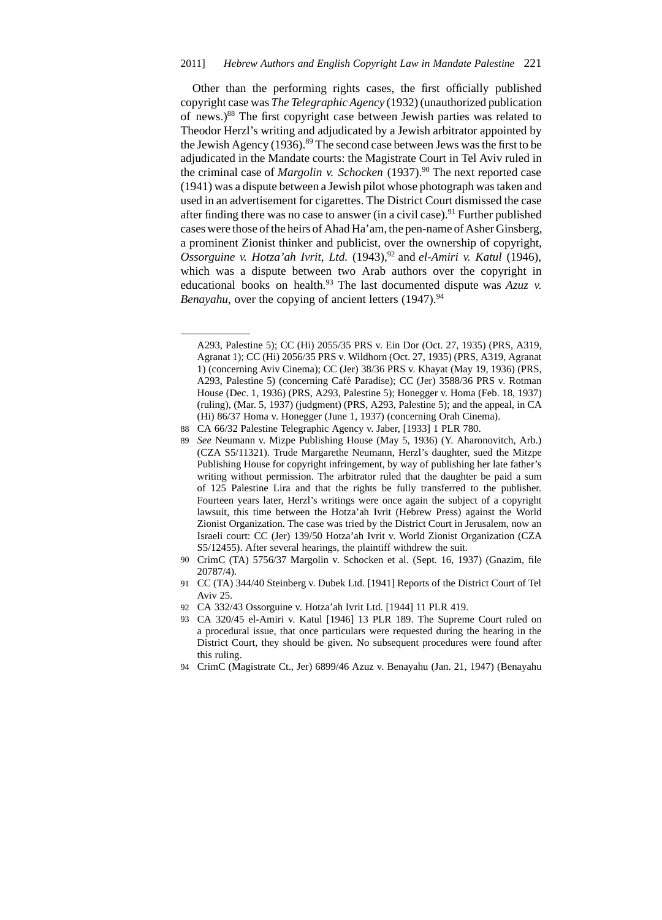Other than the performing rights cases, the first officially published copyright case was *The Telegraphic Agency* (1932) (unauthorized publication of news.)88 The first copyright case between Jewish parties was related to Theodor Herzl's writing and adjudicated by a Jewish arbitrator appointed by the Jewish Agency (1936).<sup>89</sup> The second case between Jews was the first to be adjudicated in the Mandate courts: the Magistrate Court in Tel Aviv ruled in the criminal case of *Margolin v. Schocken* (1937).<sup>90</sup> The next reported case (1941) was a dispute between a Jewish pilot whose photograph was taken and used in an advertisement for cigarettes. The District Court dismissed the case after finding there was no case to answer (in a civil case).<sup>91</sup> Further published cases were those of the heirs of Ahad Ha'am, the pen-name of Asher Ginsberg, a prominent Zionist thinker and publicist, over the ownership of copyright, *Ossorguine v. Hotza'ah Ivrit, Ltd.* (1943),92 and *el-Amiri v. Katul* (1946), which was a dispute between two Arab authors over the copyright in educational books on health.<sup>93</sup> The last documented dispute was  $A_{Z}u_{Z}$  v. *Benayahu*, over the copying of ancient letters (1947).<sup>94</sup>

A293, Palestine 5); CC (Hi) 2055/35 PRS v. Ein Dor (Oct. 27, 1935) (PRS, A319, Agranat 1); CC (Hi) 2056/35 PRS v. Wildhorn (Oct. 27, 1935) (PRS, A319, Agranat 1) (concerning Aviv Cinema); CC (Jer) 38/36 PRS v. Khayat (May 19, 1936) (PRS, A293, Palestine 5) (concerning Café Paradise); CC (Jer) 3588/36 PRS v. Rotman House (Dec. 1, 1936) (PRS, A293, Palestine 5); Honegger v. Homa (Feb. 18, 1937) (ruling), (Mar. 5, 1937) (judgment) (PRS, A293, Palestine 5); and the appeal, in CA (Hi) 86/37 Homa v. Honegger (June 1, 1937) (concerning Orah Cinema).

<sup>88</sup> CA 66/32 Palestine Telegraphic Agency v. Jaber, [1933] 1 PLR 780.

<sup>89</sup> *See* Neumann v. Mizpe Publishing House (May 5, 1936) (Y. Aharonovitch, Arb.) (CZA S5/11321). Trude Margarethe Neumann, Herzl's daughter, sued the Mitzpe Publishing House for copyright infringement, by way of publishing her late father's writing without permission. The arbitrator ruled that the daughter be paid a sum of 125 Palestine Lira and that the rights be fully transferred to the publisher. Fourteen years later, Herzl's writings were once again the subject of a copyright lawsuit, this time between the Hotza'ah Ivrit (Hebrew Press) against the World Zionist Organization. The case was tried by the District Court in Jerusalem, now an Israeli court: CC (Jer) 139/50 Hotza'ah Ivrit v. World Zionist Organization (CZA S5/12455). After several hearings, the plaintiff withdrew the suit.

<sup>90</sup> CrimC (TA) 5756/37 Margolin v. Schocken et al. (Sept. 16, 1937) (Gnazim, file 20787/4).

<sup>91</sup> CC (TA) 344/40 Steinberg v. Dubek Ltd. [1941] Reports of the District Court of Tel Aviv 25.

<sup>92</sup> CA 332/43 Ossorguine v. Hotza'ah Ivrit Ltd. [1944] 11 PLR 419.

<sup>93</sup> CA 320/45 el-Amiri v. Katul [1946] 13 PLR 189. The Supreme Court ruled on a procedural issue, that once particulars were requested during the hearing in the District Court, they should be given. No subsequent procedures were found after this ruling.

<sup>94</sup> CrimC (Magistrate Ct., Jer) 6899/46 Azuz v. Benayahu (Jan. 21, 1947) (Benayahu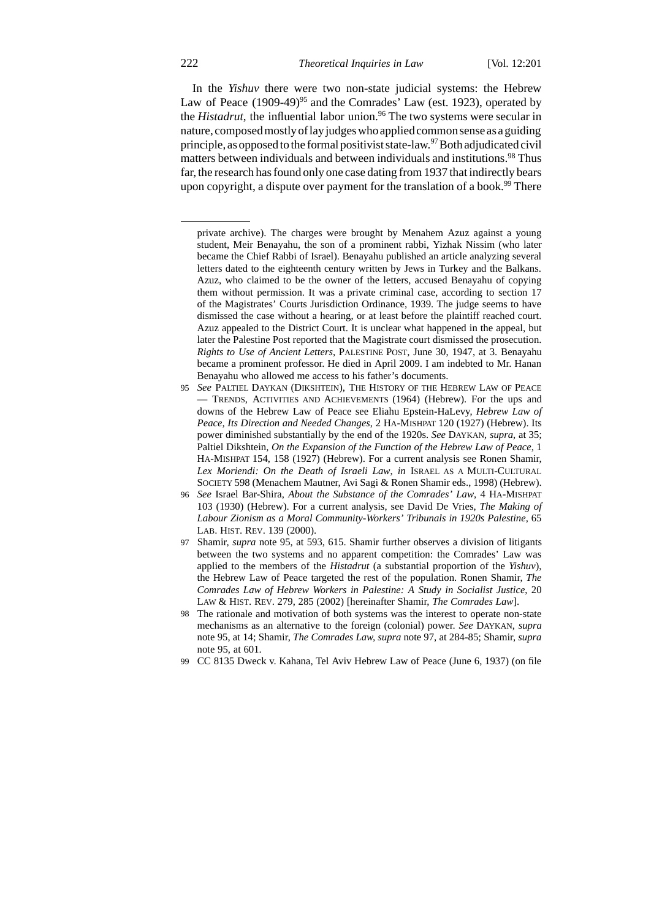In the *Yishuv* there were two non-state judicial systems: the Hebrew Law of Peace  $(1909-49)^{95}$  and the Comrades' Law (est. 1923), operated by the *Histadrut*, the influential labor union.<sup>96</sup> The two systems were secular in nature, composed mostly of lay judges who applied common sense as a guiding principle, as opposed to the formal positivist state-law.<sup>97</sup>Both adjudicated civil matters between individuals and between individuals and institutions.<sup>98</sup> Thus far, the research has found only one case dating from 1937 that indirectly bears upon copyright, a dispute over payment for the translation of a book.<sup>99</sup> There

- 97 Shamir, *supra* note 95, at 593, 615. Shamir further observes a division of litigants between the two systems and no apparent competition: the Comrades' Law was applied to the members of the *Histadrut* (a substantial proportion of the *Yishuv*), the Hebrew Law of Peace targeted the rest of the population. Ronen Shamir, *The Comrades Law of Hebrew Workers in Palestine: A Study in Socialist Justice*, 20 LAW & HIST. REV. 279, 285 (2002) [hereinafter Shamir, *The Comrades Law*].
- 98 The rationale and motivation of both systems was the interest to operate non-state mechanisms as an alternative to the foreign (colonial) power. *See* DAYKAN, *supra* note 95, at 14; Shamir, *The Comrades Law, supra* note 97, at 284-85; Shamir, *supra* note 95, at 601.

private archive). The charges were brought by Menahem Azuz against a young student, Meir Benayahu, the son of a prominent rabbi, Yizhak Nissim (who later became the Chief Rabbi of Israel). Benayahu published an article analyzing several letters dated to the eighteenth century written by Jews in Turkey and the Balkans. Azuz, who claimed to be the owner of the letters, accused Benayahu of copying them without permission. It was a private criminal case, according to section 17 of the Magistrates' Courts Jurisdiction Ordinance, 1939. The judge seems to have dismissed the case without a hearing, or at least before the plaintiff reached court. Azuz appealed to the District Court. It is unclear what happened in the appeal, but later the Palestine Post reported that the Magistrate court dismissed the prosecution. *Rights to Use of Ancient Letters*, PALESTINE POST, June 30, 1947, at 3. Benayahu became a prominent professor. He died in April 2009. I am indebted to Mr. Hanan Benayahu who allowed me access to his father's documents.

<sup>95</sup> *See* PALTIEL DAYKAN (DIKSHTEIN), THE HISTORY OF THE HEBREW LAW OF PEACE — TRENDS, ACTIVITIES AND ACHIEVEMENTS (1964) (Hebrew). For the ups and downs of the Hebrew Law of Peace see Eliahu Epstein-HaLevy, *Hebrew Law of Peace, Its Direction and Needed Changes*,2HA-MISHPAT 120 (1927) (Hebrew). Its power diminished substantially by the end of the 1920s. *See* DAYKAN, *supra*, at 35; Paltiel Dikshtein, *On the Expansion of the Function of the Hebrew Law of Peace*, 1 HA-MISHPAT 154, 158 (1927) (Hebrew). For a current analysis see Ronen Shamir, *Lex Moriendi: On the Death of Israeli Law*, *in* ISRAEL AS A MULTI-CULTURAL SOCIETY 598 (Menachem Mautner, Avi Sagi & Ronen Shamir eds., 1998) (Hebrew).

<sup>96</sup> *See* Israel Bar-Shira, *About the Substance of the Comrades' Law*,4HA-MISHPAT 103 (1930) (Hebrew). For a current analysis, see David De Vries, *The Making of Labour Zionism as a Moral Community-Workers' Tribunals in 1920s Palestine*, 65 LAB. HIST. REV. 139 (2000).

<sup>99</sup> CC 8135 Dweck v. Kahana, Tel Aviv Hebrew Law of Peace (June 6, 1937) (on file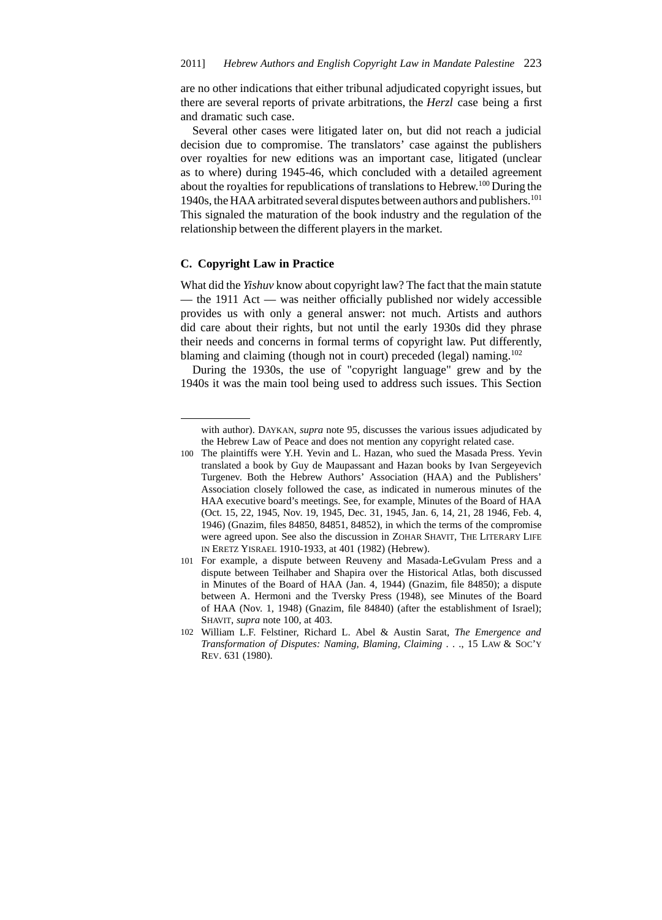are no other indications that either tribunal adjudicated copyright issues, but there are several reports of private arbitrations, the *Herzl* case being a first and dramatic such case.

Several other cases were litigated later on, but did not reach a judicial decision due to compromise. The translators' case against the publishers over royalties for new editions was an important case, litigated (unclear as to where) during 1945-46, which concluded with a detailed agreement about the royalties for republications of translations to Hebrew.<sup>100</sup> During the 1940s, the HAA arbitrated several disputes between authors and publishers.<sup>101</sup> This signaled the maturation of the book industry and the regulation of the relationship between the different players in the market.

## **C. Copyright Law in Practice**

What did the *Yishuv* know about copyright law? The fact that the main statute — the 1911 Act — was neither officially published nor widely accessible provides us with only a general answer: not much. Artists and authors did care about their rights, but not until the early 1930s did they phrase their needs and concerns in formal terms of copyright law. Put differently, blaming and claiming (though not in court) preceded (legal) naming.<sup>102</sup>

During the 1930s, the use of "copyright language" grew and by the 1940s it was the main tool being used to address such issues. This Section

with author). DAYKAN, *supra* note 95, discusses the various issues adjudicated by the Hebrew Law of Peace and does not mention any copyright related case.

<sup>100</sup> The plaintiffs were Y.H. Yevin and L. Hazan, who sued the Masada Press. Yevin translated a book by Guy de Maupassant and Hazan books by Ivan Sergeyevich Turgenev. Both the Hebrew Authors' Association (HAA) and the Publishers' Association closely followed the case, as indicated in numerous minutes of the HAA executive board's meetings. See, for example, Minutes of the Board of HAA (Oct. 15, 22, 1945, Nov. 19, 1945, Dec. 31, 1945, Jan. 6, 14, 21, 28 1946, Feb. 4, 1946) (Gnazim, files 84850, 84851, 84852), in which the terms of the compromise were agreed upon. See also the discussion in ZOHAR SHAVIT, THE LITERARY LIFE IN ERETZ YISRAEL 1910-1933, at 401 (1982) (Hebrew).

<sup>101</sup> For example, a dispute between Reuveny and Masada-LeGvulam Press and a dispute between Teilhaber and Shapira over the Historical Atlas, both discussed in Minutes of the Board of HAA (Jan. 4, 1944) (Gnazim, file 84850); a dispute between A. Hermoni and the Tversky Press (1948), see Minutes of the Board of HAA (Nov. 1, 1948) (Gnazim, file 84840) (after the establishment of Israel); SHAVIT, *supra* note 100, at 403.

<sup>102</sup> William L.F. Felstiner, Richard L. Abel & Austin Sarat, *The Emergence and Transformation of Disputes: Naming, Blaming, Claiming* . . ., 15 LAW & SOC'Y REV. 631 (1980).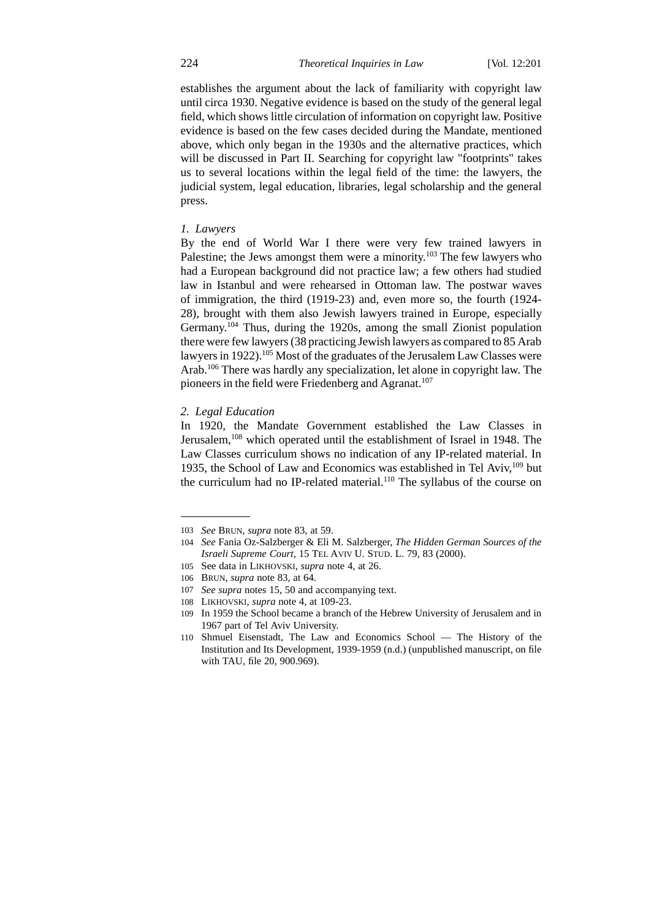establishes the argument about the lack of familiarity with copyright law until circa 1930. Negative evidence is based on the study of the general legal field, which shows little circulation of information on copyright law. Positive evidence is based on the few cases decided during the Mandate, mentioned above, which only began in the 1930s and the alternative practices, which will be discussed in Part II. Searching for copyright law "footprints" takes us to several locations within the legal field of the time: the lawyers, the judicial system, legal education, libraries, legal scholarship and the general press.

## *1. Lawyers*

By the end of World War I there were very few trained lawyers in Palestine; the Jews amongst them were a minority.<sup>103</sup> The few lawyers who had a European background did not practice law; a few others had studied law in Istanbul and were rehearsed in Ottoman law. The postwar waves of immigration, the third (1919-23) and, even more so, the fourth (1924- 28), brought with them also Jewish lawyers trained in Europe, especially Germany.<sup>104</sup> Thus, during the 1920s, among the small Zionist population there were few lawyers (38 practicing Jewish lawyers as compared to 85 Arab lawyers in 1922).<sup>105</sup> Most of the graduates of the Jerusalem Law Classes were Arab.<sup>106</sup> There was hardly any specialization, let alone in copyright law. The pioneers in the field were Friedenberg and Agranat.<sup>107</sup>

#### *2. Legal Education*

In 1920, the Mandate Government established the Law Classes in Jerusalem,<sup>108</sup> which operated until the establishment of Israel in 1948. The Law Classes curriculum shows no indication of any IP-related material. In 1935, the School of Law and Economics was established in Tel Aviv,<sup>109</sup> but the curriculum had no IP-related material.<sup>110</sup> The syllabus of the course on

<sup>103</sup> *See* BRUN, *supra* note 83, at 59.

<sup>104</sup> *See* Fania Oz-Salzberger & Eli M. Salzberger, *The Hidden German Sources of the Israeli Supreme Court*, 15 TEL AVIV U. STUD. L. 79, 83 (2000).

<sup>105</sup> See data in LIKHOVSKI, *supra* note 4, at 26.

<sup>106</sup> BRUN, *supra* note 83, at 64.

<sup>107</sup> *See supra* notes 15, 50 and accompanying text.

<sup>108</sup> LIKHOVSKI, *supra* note 4, at 109-23.

<sup>109</sup> In 1959 the School became a branch of the Hebrew University of Jerusalem and in 1967 part of Tel Aviv University.

<sup>110</sup> Shmuel Eisenstadt, The Law and Economics School — The History of the Institution and Its Development, 1939-1959 (n.d.) (unpublished manuscript, on file with TAU, file 20, 900.969).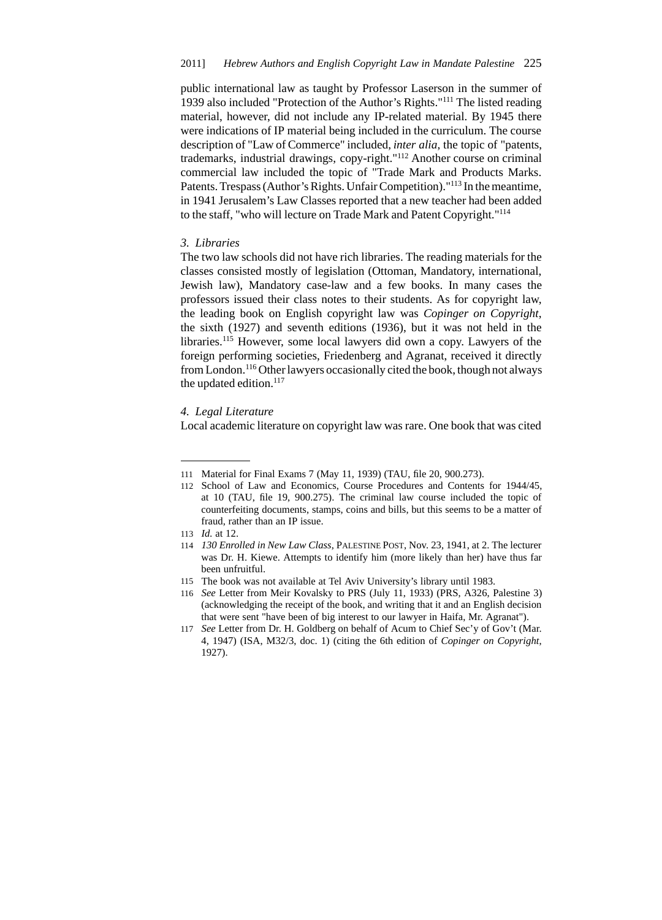public international law as taught by Professor Laserson in the summer of 1939 also included "Protection of the Author's Rights."111 The listed reading material, however, did not include any IP-related material. By 1945 there were indications of IP material being included in the curriculum. The course description of "Law of Commerce" included, *inter alia*, the topic of "patents, trademarks, industrial drawings, copy-right."112 Another course on criminal commercial law included the topic of "Trade Mark and Products Marks. Patents. Trespass (Author's Rights. Unfair Competition)."113 In the meantime, in 1941 Jerusalem's Law Classes reported that a new teacher had been added to the staff, "who will lecture on Trade Mark and Patent Copyright."114

# *3. Libraries*

The two law schools did not have rich libraries. The reading materials for the classes consisted mostly of legislation (Ottoman, Mandatory, international, Jewish law), Mandatory case-law and a few books. In many cases the professors issued their class notes to their students. As for copyright law, the leading book on English copyright law was *Copinger on Copyright*, the sixth (1927) and seventh editions (1936), but it was not held in the libraries.115 However, some local lawyers did own a copy. Lawyers of the foreign performing societies, Friedenberg and Agranat, received it directly from London.116 Other lawyers occasionally cited the book, though not always the updated edition.<sup>117</sup>

# *4. Legal Literature*

Local academic literature on copyright law was rare. One book that was cited

<sup>111</sup> Material for Final Exams 7 (May 11, 1939) (TAU, file 20, 900.273).

<sup>112</sup> School of Law and Economics, Course Procedures and Contents for 1944/45, at 10 (TAU, file 19, 900.275). The criminal law course included the topic of counterfeiting documents, stamps, coins and bills, but this seems to be a matter of fraud, rather than an IP issue.

<sup>113</sup> *Id.* at 12.

<sup>114</sup> *130 Enrolled in New Law Class*, PALESTINE POST, Nov. 23, 1941, at 2. The lecturer was Dr. H. Kiewe. Attempts to identify him (more likely than her) have thus far been unfruitful.

<sup>115</sup> The book was not available at Tel Aviv University's library until 1983.

<sup>116</sup> *See* Letter from Meir Kovalsky to PRS (July 11, 1933) (PRS, A326, Palestine 3) (acknowledging the receipt of the book, and writing that it and an English decision that were sent "have been of big interest to our lawyer in Haifa, Mr. Agranat").

<sup>117</sup> *See* Letter from Dr. H. Goldberg on behalf of Acum to Chief Sec'y of Gov't (Mar. 4, 1947) (ISA, M32/3, doc. 1) (citing the 6th edition of *Copinger on Copyright*, 1927).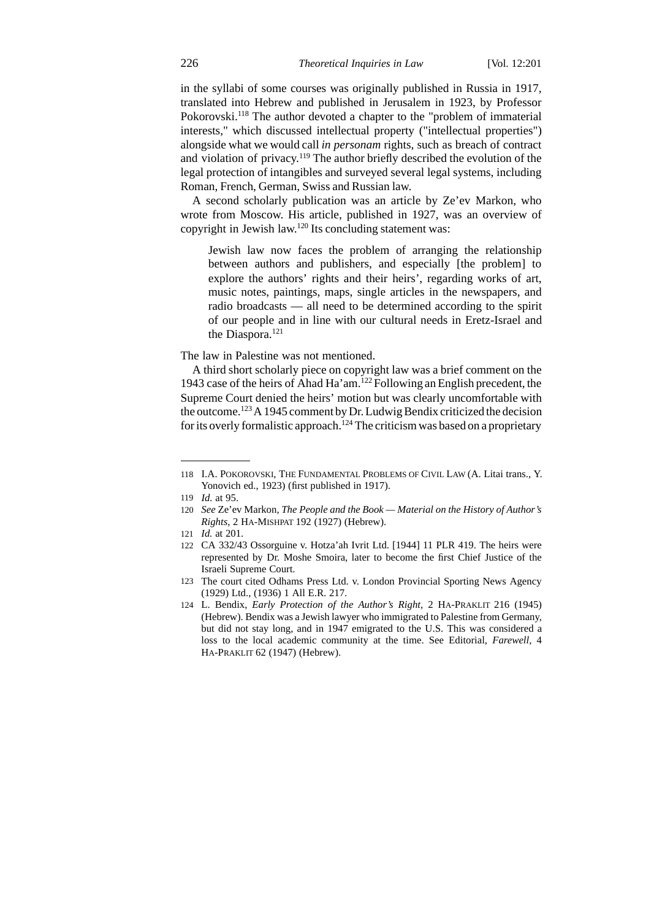in the syllabi of some courses was originally published in Russia in 1917, translated into Hebrew and published in Jerusalem in 1923, by Professor Pokorovski.<sup>118</sup> The author devoted a chapter to the "problem of immaterial interests," which discussed intellectual property ("intellectual properties") alongside what we would call *in personam* rights, such as breach of contract and violation of privacy.119 The author briefly described the evolution of the legal protection of intangibles and surveyed several legal systems, including Roman, French, German, Swiss and Russian law.

A second scholarly publication was an article by Ze'ev Markon, who wrote from Moscow. His article, published in 1927, was an overview of copyright in Jewish law.120 Its concluding statement was:

Jewish law now faces the problem of arranging the relationship between authors and publishers, and especially [the problem] to explore the authors' rights and their heirs', regarding works of art, music notes, paintings, maps, single articles in the newspapers, and radio broadcasts — all need to be determined according to the spirit of our people and in line with our cultural needs in Eretz-Israel and the Diaspora.<sup>121</sup>

The law in Palestine was not mentioned.

A third short scholarly piece on copyright law was a brief comment on the 1943 case of the heirs of Ahad Ha'am.122 Following an English precedent, the Supreme Court denied the heirs' motion but was clearly uncomfortable with the outcome.<sup>123</sup> A 1945 comment by Dr. Ludwig Bendix criticized the decision for its overly formalistic approach.<sup>124</sup> The criticism was based on a proprietary

<sup>118</sup> I.A. POKOROVSKI, THE FUNDAMENTAL PROBLEMS OF CIVIL LAW (A. Litai trans., Y. Yonovich ed., 1923) (first published in 1917).

<sup>119</sup> *Id.* at 95.

<sup>120</sup> *See* Ze'ev Markon, *The People and the Book — Material on the History of Author's Rights*,2HA-MISHPAT 192 (1927) (Hebrew).

<sup>121</sup> *Id.* at 201.

<sup>122</sup> CA 332/43 Ossorguine v. Hotza'ah Ivrit Ltd. [1944] 11 PLR 419. The heirs were represented by Dr. Moshe Smoira, later to become the first Chief Justice of the Israeli Supreme Court.

<sup>123</sup> The court cited Odhams Press Ltd. v. London Provincial Sporting News Agency (1929) Ltd., (1936) 1 All E.R. 217.

<sup>124</sup> L. Bendix, *Early Protection of the Author's Right*,2HA-PRAKLIT 216 (1945) (Hebrew). Bendix was a Jewish lawyer who immigrated to Palestine from Germany, but did not stay long, and in 1947 emigrated to the U.S. This was considered a loss to the local academic community at the time. See Editorial, *Farewell*, 4 HA-PRAKLIT 62 (1947) (Hebrew).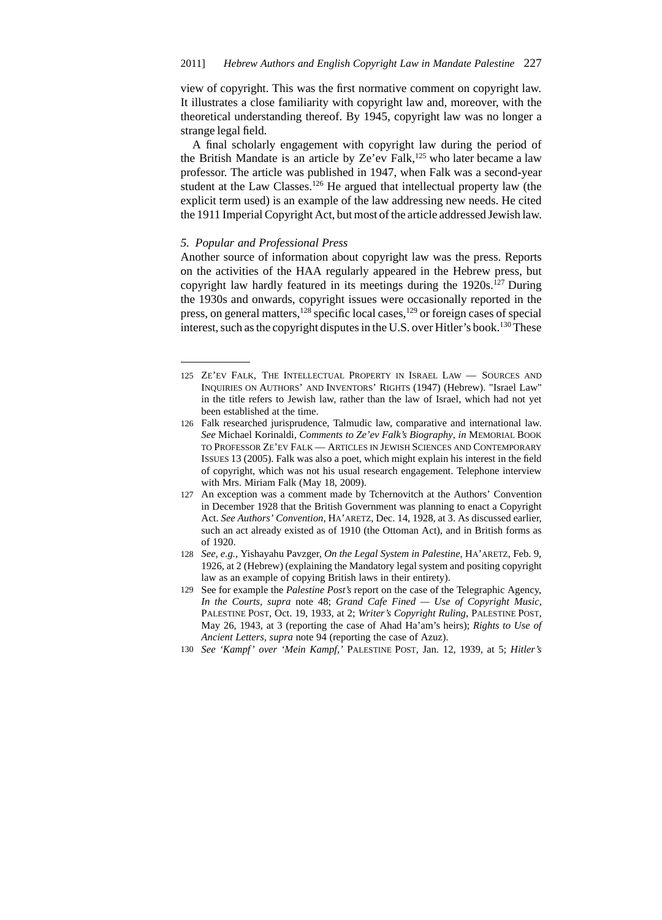view of copyright. This was the first normative comment on copyright law. It illustrates a close familiarity with copyright law and, moreover, with the theoretical understanding thereof. By 1945, copyright law was no longer a strange legal field.

A final scholarly engagement with copyright law during the period of the British Mandate is an article by Ze'ev Falk,<sup>125</sup> who later became a law professor. The article was published in 1947, when Falk was a second-year student at the Law Classes.<sup>126</sup> He argued that intellectual property law (the explicit term used) is an example of the law addressing new needs. He cited the 1911 Imperial Copyright Act, but most of the article addressed Jewish law.

# *5. Popular and Professional Press*

Another source of information about copyright law was the press. Reports on the activities of the HAA regularly appeared in the Hebrew press, but copyright law hardly featured in its meetings during the  $1920s$ .<sup>127</sup> During the 1930s and onwards, copyright issues were occasionally reported in the press, on general matters,<sup>128</sup> specific local cases,<sup>129</sup> or foreign cases of special interest, such as the copyright disputes in the U.S. over Hitler's book.<sup>130</sup> These

- 128 *See, e.g.*, Yishayahu Pavzger, *On the Legal System in Palestine*, HA'ARETZ, Feb. 9, 1926, at 2 (Hebrew) (explaining the Mandatory legal system and positing copyright law as an example of copying British laws in their entirety).
- 129 See for example the *Palestine Post's* report on the case of the Telegraphic Agency, *In the Courts, supra* note 48; *Grand Cafe Fined — Use of Copyright Music*, PALESTINE POST, Oct. 19, 1933, at 2; *Writer's Copyright Ruling*, PALESTINE POST, May 26, 1943, at 3 (reporting the case of Ahad Ha'am's heirs); *Rights to Use of Ancient Letters, supra* note 94 (reporting the case of Azuz).
- 130 *See 'Kampf ' over 'Mein Kampf,'* PALESTINE POST, Jan. 12, 1939, at 5; *Hitler's*

<sup>125</sup> ZE'EV FALK, THE INTELLECTUAL PROPERTY IN ISRAEL LAW — SOURCES AND INQUIRIES ON AUTHORS' AND INVENTORS' RIGHTS (1947) (Hebrew). "Israel Law" in the title refers to Jewish law, rather than the law of Israel, which had not yet been established at the time.

<sup>126</sup> Falk researched jurisprudence, Talmudic law, comparative and international law. *See* Michael Korinaldi, *Comments to Ze'ev Falk's Biography*, *in* MEMORIAL BOOK TO PROFESSOR ZE'EV FALK — ARTICLES IN JEWISH SCIENCES AND CONTEMPORARY ISSUES 13 (2005). Falk was also a poet, which might explain his interest in the field of copyright, which was not his usual research engagement. Telephone interview with Mrs. Miriam Falk (May 18, 2009).

<sup>127</sup> An exception was a comment made by Tchernovitch at the Authors' Convention in December 1928 that the British Government was planning to enact a Copyright Act. *See Authors' Convention*, HA'ARETZ, Dec. 14, 1928, at 3. As discussed earlier, such an act already existed as of 1910 (the Ottoman Act), and in British forms as of 1920.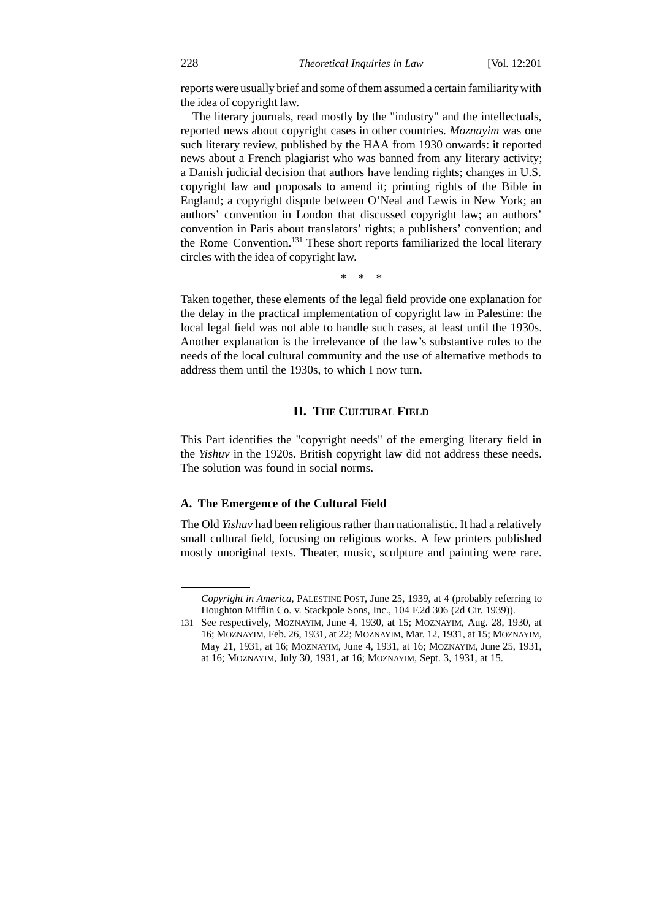reports were usually brief and some of them assumed a certain familiarity with the idea of copyright law.

The literary journals, read mostly by the "industry" and the intellectuals, reported news about copyright cases in other countries. *Moznayim* was one such literary review, published by the HAA from 1930 onwards: it reported news about a French plagiarist who was banned from any literary activity; a Danish judicial decision that authors have lending rights; changes in U.S. copyright law and proposals to amend it; printing rights of the Bible in England; a copyright dispute between O'Neal and Lewis in New York; an authors' convention in London that discussed copyright law; an authors' convention in Paris about translators' rights; a publishers' convention; and the Rome Convention.<sup>131</sup> These short reports familiarized the local literary circles with the idea of copyright law.

\*\*\*

Taken together, these elements of the legal field provide one explanation for the delay in the practical implementation of copyright law in Palestine: the local legal field was not able to handle such cases, at least until the 1930s. Another explanation is the irrelevance of the law's substantive rules to the needs of the local cultural community and the use of alternative methods to address them until the 1930s, to which I now turn.

# **II. THE CULTURAL FIELD**

This Part identifies the "copyright needs" of the emerging literary field in the *Yishuv* in the 1920s. British copyright law did not address these needs. The solution was found in social norms.

#### **A. The Emergence of the Cultural Field**

The Old *Yishuv* had been religious rather than nationalistic. It had a relatively small cultural field, focusing on religious works. A few printers published mostly unoriginal texts. Theater, music, sculpture and painting were rare.

*Copyright in America*, PALESTINE POST, June 25, 1939, at 4 (probably referring to Houghton Mifflin Co. v. Stackpole Sons, Inc., 104 F.2d 306 (2d Cir. 1939)).

<sup>131</sup> See respectively, MOZNAYIM, June 4, 1930, at 15; MOZNAYIM, Aug. 28, 1930, at 16; MOZNAYIM, Feb. 26, 1931, at 22; MOZNAYIM, Mar. 12, 1931, at 15; MOZNAYIM, May 21, 1931, at 16; MOZNAYIM, June 4, 1931, at 16; MOZNAYIM, June 25, 1931, at 16; MOZNAYIM, July 30, 1931, at 16; MOZNAYIM, Sept. 3, 1931, at 15.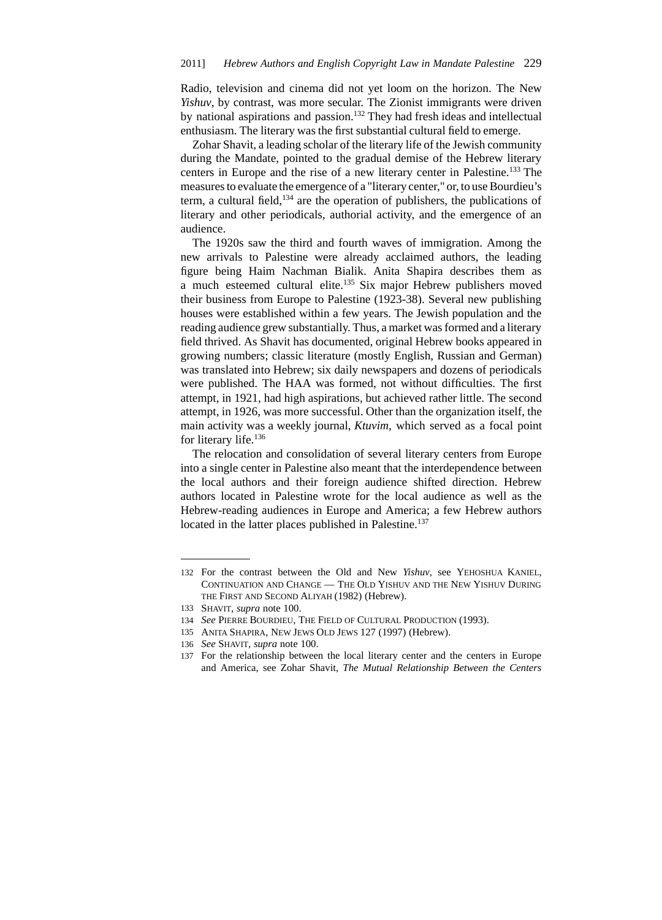Radio, television and cinema did not yet loom on the horizon. The New *Yishuv*, by contrast, was more secular. The Zionist immigrants were driven by national aspirations and passion.<sup>132</sup> They had fresh ideas and intellectual enthusiasm. The literary was the first substantial cultural field to emerge.

Zohar Shavit, a leading scholar of the literary life of the Jewish community during the Mandate, pointed to the gradual demise of the Hebrew literary centers in Europe and the rise of a new literary center in Palestine.<sup>133</sup> The measures to evaluate the emergence of a "literary center," or, to use Bourdieu's term, a cultural field,  $134$  are the operation of publishers, the publications of literary and other periodicals, authorial activity, and the emergence of an audience.

The 1920s saw the third and fourth waves of immigration. Among the new arrivals to Palestine were already acclaimed authors, the leading figure being Haim Nachman Bialik. Anita Shapira describes them as a much esteemed cultural elite.<sup>135</sup> Six major Hebrew publishers moved their business from Europe to Palestine (1923-38). Several new publishing houses were established within a few years. The Jewish population and the reading audience grew substantially. Thus, a market was formed and a literary field thrived. As Shavit has documented, original Hebrew books appeared in growing numbers; classic literature (mostly English, Russian and German) was translated into Hebrew; six daily newspapers and dozens of periodicals were published. The HAA was formed, not without difficulties. The first attempt, in 1921, had high aspirations, but achieved rather little. The second attempt, in 1926, was more successful. Other than the organization itself, the main activity was a weekly journal, *Ktuvim*, which served as a focal point for literary life.<sup>136</sup>

The relocation and consolidation of several literary centers from Europe into a single center in Palestine also meant that the interdependence between the local authors and their foreign audience shifted direction. Hebrew authors located in Palestine wrote for the local audience as well as the Hebrew-reading audiences in Europe and America; a few Hebrew authors located in the latter places published in Palestine.<sup>137</sup>

135 ANITA SHAPIRA, NEW JEWS OLD JEWS 127 (1997) (Hebrew).

<sup>132</sup> For the contrast between the Old and New *Yishuv*, see YEHOSHUA KANIEL, CONTINUATION AND CHANGE — THE OLD YISHUV AND THE NEW YISHUV DURING THE FIRST AND SECOND ALIYAH (1982) (Hebrew).

<sup>133</sup> SHAVIT, *supra* note 100.

<sup>134</sup> *See* PIERRE BOURDIEU, THE FIELD OF CULTURAL PRODUCTION (1993).

<sup>136</sup> *See* SHAVIT, *supra* note 100.

<sup>137</sup> For the relationship between the local literary center and the centers in Europe and America, see Zohar Shavit, *The Mutual Relationship Between the Centers*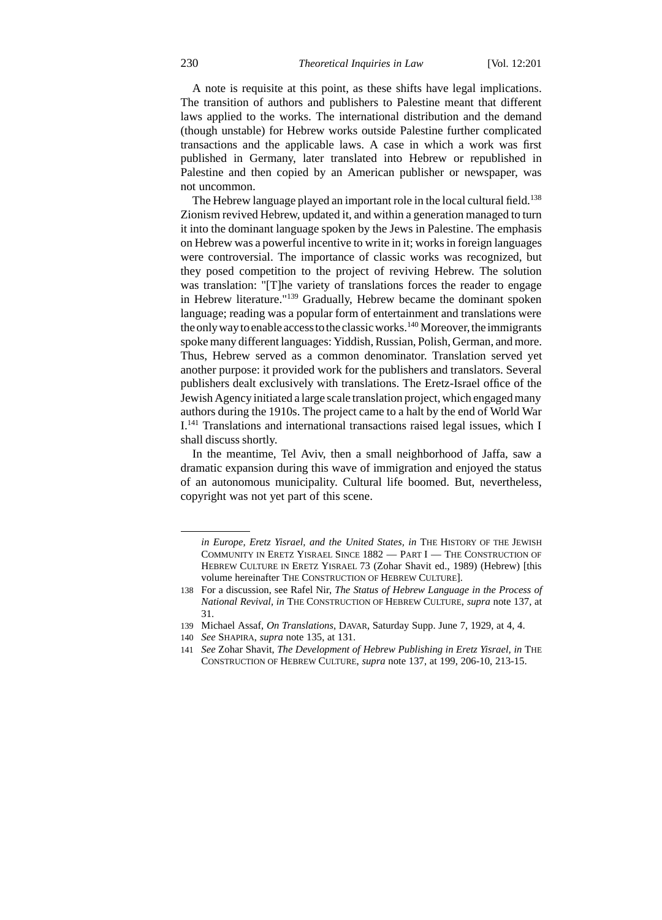A note is requisite at this point, as these shifts have legal implications. The transition of authors and publishers to Palestine meant that different laws applied to the works. The international distribution and the demand (though unstable) for Hebrew works outside Palestine further complicated transactions and the applicable laws. A case in which a work was first published in Germany, later translated into Hebrew or republished in Palestine and then copied by an American publisher or newspaper, was not uncommon.

The Hebrew language played an important role in the local cultural field.<sup>138</sup> Zionism revived Hebrew, updated it, and within a generation managed to turn it into the dominant language spoken by the Jews in Palestine. The emphasis on Hebrew was a powerful incentive to write in it; works in foreign languages were controversial. The importance of classic works was recognized, but they posed competition to the project of reviving Hebrew. The solution was translation: "[T]he variety of translations forces the reader to engage in Hebrew literature."139 Gradually, Hebrew became the dominant spoken language; reading was a popular form of entertainment and translations were the only way to enable access to the classic works.<sup>140</sup> Moreover, the immigrants spoke many different languages: Yiddish, Russian, Polish, German, and more. Thus, Hebrew served as a common denominator. Translation served yet another purpose: it provided work for the publishers and translators. Several publishers dealt exclusively with translations. The Eretz-Israel office of the Jewish Agency initiated a large scale translation project, which engaged many authors during the 1910s. The project came to a halt by the end of World War I.141 Translations and international transactions raised legal issues, which I shall discuss shortly.

In the meantime, Tel Aviv, then a small neighborhood of Jaffa, saw a dramatic expansion during this wave of immigration and enjoyed the status of an autonomous municipality. Cultural life boomed. But, nevertheless, copyright was not yet part of this scene.

*in Europe, Eretz Yisrael, and the United States, in* THE HISTORY OF THE JEWISH COMMUNITY IN ERETZ YISRAEL SINCE 1882 — PART I—THE CONSTRUCTION OF HEBREW CULTURE IN ERETZ YISRAEL 73 (Zohar Shavit ed., 1989) (Hebrew) [this volume hereinafter THE CONSTRUCTION OF HEBREW CULTURE].

<sup>138</sup> For a discussion, see Rafel Nir, *The Status of Hebrew Language in the Process of National Revival, in* THE CONSTRUCTION OF HEBREW CULTURE, *supra* note 137, at 31.

<sup>139</sup> Michael Assaf, *On Translations*, DAVAR, Saturday Supp. June 7, 1929, at 4, 4.

<sup>140</sup> *See* SHAPIRA, *supra* note 135, at 131.

<sup>141</sup> *See* Zohar Shavit, *The Development of Hebrew Publishing in Eretz Yisrael, in* THE CONSTRUCTION OF HEBREW CULTURE, *supra* note 137, at 199, 206-10, 213-15.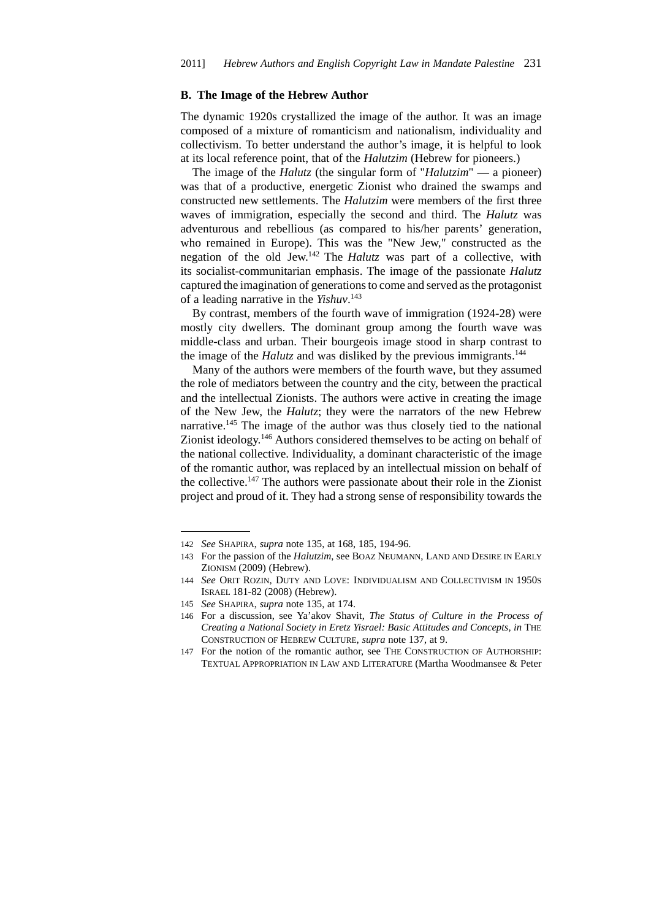# **B. The Image of the Hebrew Author**

The dynamic 1920s crystallized the image of the author. It was an image composed of a mixture of romanticism and nationalism, individuality and collectivism. To better understand the author's image, it is helpful to look at its local reference point, that of the *Halutzim* (Hebrew for pioneers.)

The image of the *Halutz* (the singular form of "*Halutzim*" — a pioneer) was that of a productive, energetic Zionist who drained the swamps and constructed new settlements. The *Halutzim* were members of the first three waves of immigration, especially the second and third. The *Halutz* was adventurous and rebellious (as compared to his/her parents' generation, who remained in Europe). This was the "New Jew," constructed as the negation of the old Jew.142 The *Halutz* was part of a collective, with its socialist-communitarian emphasis. The image of the passionate *Halutz* captured the imagination of generations to come and served as the protagonist of a leading narrative in the *Yishuv*. 143

By contrast, members of the fourth wave of immigration (1924-28) were mostly city dwellers. The dominant group among the fourth wave was middle-class and urban. Their bourgeois image stood in sharp contrast to the image of the *Halutz* and was disliked by the previous immigrants.<sup>144</sup>

Many of the authors were members of the fourth wave, but they assumed the role of mediators between the country and the city, between the practical and the intellectual Zionists. The authors were active in creating the image of the New Jew, the *Halutz*; they were the narrators of the new Hebrew narrative.145 The image of the author was thus closely tied to the national Zionist ideology.146 Authors considered themselves to be acting on behalf of the national collective. Individuality, a dominant characteristic of the image of the romantic author, was replaced by an intellectual mission on behalf of the collective.<sup>147</sup> The authors were passionate about their role in the Zionist project and proud of it. They had a strong sense of responsibility towards the

<sup>142</sup> *See* SHAPIRA, *supra* note 135, at 168, 185, 194-96.

<sup>143</sup> For the passion of the *Halutzim*, see BOAZ NEUMANN, LAND AND DESIRE IN EARLY ZIONISM (2009) (Hebrew).

<sup>144</sup> *See* ORIT ROZIN, DUTY AND LOVE: INDIVIDUALISM AND COLLECTIVISM IN 1950S ISRAEL 181-82 (2008) (Hebrew).

<sup>145</sup> *See* SHAPIRA, *supra* note 135, at 174.

<sup>146</sup> For a discussion, see Ya'akov Shavit, *The Status of Culture in the Process of Creating a National Society in Eretz Yisrael: Basic Attitudes and Concepts, in* THE CONSTRUCTION OF HEBREW CULTURE, *supra* note 137, at 9.

<sup>147</sup> For the notion of the romantic author, see THE CONSTRUCTION OF AUTHORSHIP: TEXTUAL APPROPRIATION IN LAW AND LITERATURE (Martha Woodmansee & Peter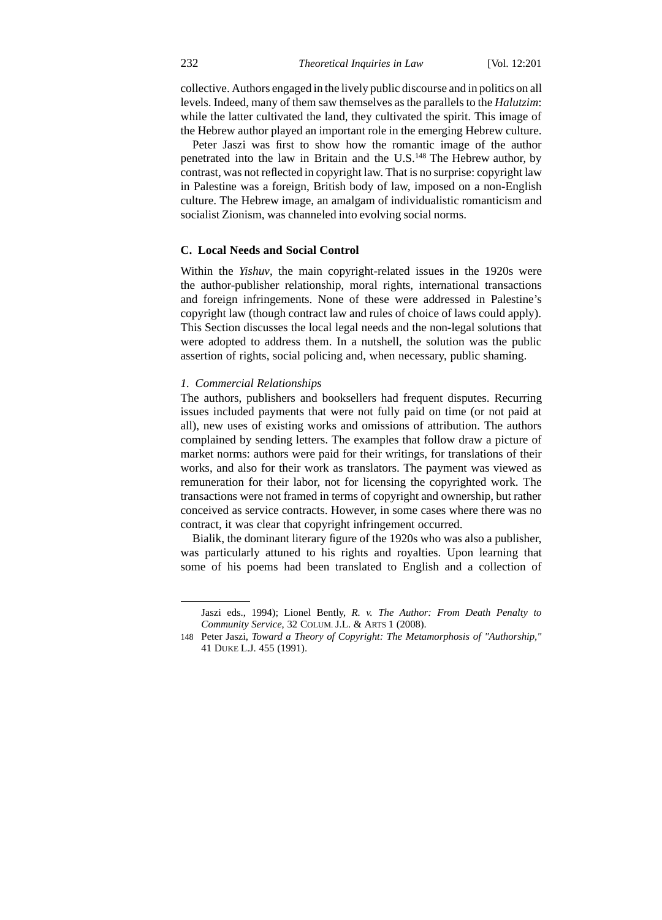collective. Authors engaged in the lively public discourse and in politics on all levels. Indeed, many of them saw themselves as the parallels to the *Halutzim*: while the latter cultivated the land, they cultivated the spirit. This image of the Hebrew author played an important role in the emerging Hebrew culture.

Peter Jaszi was first to show how the romantic image of the author penetrated into the law in Britain and the U.S.<sup>148</sup> The Hebrew author, by contrast, was not reflected in copyright law. That is no surprise: copyright law in Palestine was a foreign, British body of law, imposed on a non-English culture. The Hebrew image, an amalgam of individualistic romanticism and socialist Zionism, was channeled into evolving social norms.

#### **C. Local Needs and Social Control**

Within the *Yishuv*, the main copyright-related issues in the 1920s were the author-publisher relationship, moral rights, international transactions and foreign infringements. None of these were addressed in Palestine's copyright law (though contract law and rules of choice of laws could apply). This Section discusses the local legal needs and the non-legal solutions that were adopted to address them. In a nutshell, the solution was the public assertion of rights, social policing and, when necessary, public shaming.

#### *1. Commercial Relationships*

The authors, publishers and booksellers had frequent disputes. Recurring issues included payments that were not fully paid on time (or not paid at all), new uses of existing works and omissions of attribution. The authors complained by sending letters. The examples that follow draw a picture of market norms: authors were paid for their writings, for translations of their works, and also for their work as translators. The payment was viewed as remuneration for their labor, not for licensing the copyrighted work. The transactions were not framed in terms of copyright and ownership, but rather conceived as service contracts. However, in some cases where there was no contract, it was clear that copyright infringement occurred.

Bialik, the dominant literary figure of the 1920s who was also a publisher, was particularly attuned to his rights and royalties. Upon learning that some of his poems had been translated to English and a collection of

Jaszi eds., 1994); Lionel Bently, *R. v. The Author: From Death Penalty to Community Service*, 32 COLUM. J.L. & ARTS 1 (2008).

<sup>148</sup> Peter Jaszi, *Toward a Theory of Copyright: The Metamorphosis of "Authorship,"* 41 DUKE L.J. 455 (1991).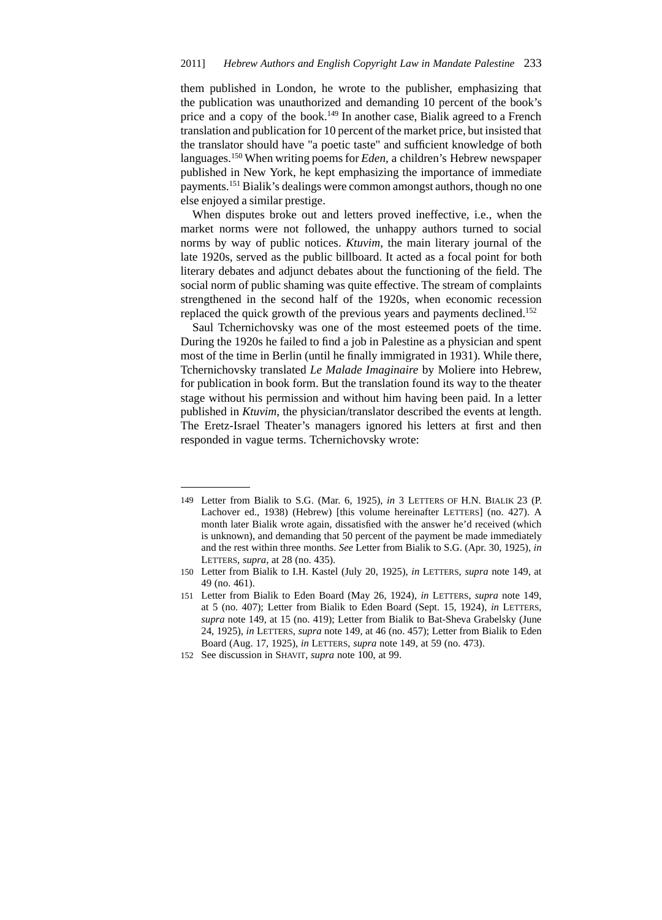them published in London, he wrote to the publisher, emphasizing that the publication was unauthorized and demanding 10 percent of the book's price and a copy of the book.<sup>149</sup> In another case, Bialik agreed to a French translation and publication for 10 percent of the market price, but insisted that the translator should have "a poetic taste" and sufficient knowledge of both languages.150 When writing poems for *Eden*, a children's Hebrew newspaper published in New York, he kept emphasizing the importance of immediate payments.151 Bialik's dealings were common amongst authors, though no one else enjoyed a similar prestige.

When disputes broke out and letters proved ineffective, i.e., when the market norms were not followed, the unhappy authors turned to social norms by way of public notices. *Ktuvim*, the main literary journal of the late 1920s, served as the public billboard. It acted as a focal point for both literary debates and adjunct debates about the functioning of the field. The social norm of public shaming was quite effective. The stream of complaints strengthened in the second half of the 1920s, when economic recession replaced the quick growth of the previous years and payments declined.<sup>152</sup>

Saul Tchernichovsky was one of the most esteemed poets of the time. During the 1920s he failed to find a job in Palestine as a physician and spent most of the time in Berlin (until he finally immigrated in 1931). While there, Tchernichovsky translated *Le Malade Imaginaire* by Moliere into Hebrew, for publication in book form. But the translation found its way to the theater stage without his permission and without him having been paid. In a letter published in *Ktuvim*, the physician/translator described the events at length. The Eretz-Israel Theater's managers ignored his letters at first and then responded in vague terms. Tchernichovsky wrote:

<sup>149</sup> Letter from Bialik to S.G. (Mar. 6, 1925), *in* 3 LETTERS OF H.N. BIALIK 23 (P. Lachover ed., 1938) (Hebrew) [this volume hereinafter LETTERS] (no. 427). A month later Bialik wrote again, dissatisfied with the answer he'd received (which is unknown), and demanding that 50 percent of the payment be made immediately and the rest within three months. *See* Letter from Bialik to S.G. (Apr. 30, 1925), *in* LETTERS, *supra*, at 28 (no. 435).

<sup>150</sup> Letter from Bialik to I.H. Kastel (July 20, 1925), *in* LETTERS, *supra* note 149, at 49 (no. 461).

<sup>151</sup> Letter from Bialik to Eden Board (May 26, 1924), *in* LETTERS, *supra* note 149, at 5 (no. 407); Letter from Bialik to Eden Board (Sept. 15, 1924), *in* LETTERS, *supra* note 149, at 15 (no. 419); Letter from Bialik to Bat-Sheva Grabelsky (June 24, 1925), *in* LETTERS, *supra* note 149, at 46 (no. 457); Letter from Bialik to Eden Board (Aug. 17, 1925), *in* LETTERS, *supra* note 149, at 59 (no. 473).

<sup>152</sup> See discussion in SHAVIT, *supra* note 100, at 99.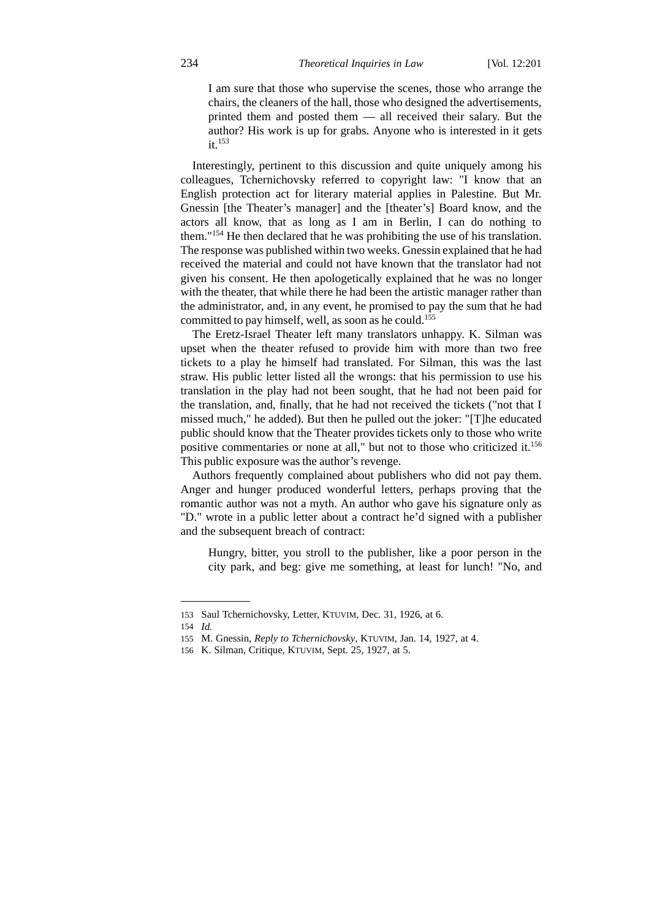I am sure that those who supervise the scenes, those who arrange the chairs, the cleaners of the hall, those who designed the advertisements, printed them and posted them — all received their salary. But the author? His work is up for grabs. Anyone who is interested in it gets it.153

Interestingly, pertinent to this discussion and quite uniquely among his colleagues, Tchernichovsky referred to copyright law: "I know that an English protection act for literary material applies in Palestine. But Mr. Gnessin [the Theater's manager] and the [theater's] Board know, and the actors all know, that as long as I am in Berlin, I can do nothing to them."154 He then declared that he was prohibiting the use of his translation. The response was published within two weeks. Gnessin explained that he had received the material and could not have known that the translator had not given his consent. He then apologetically explained that he was no longer with the theater, that while there he had been the artistic manager rather than the administrator, and, in any event, he promised to pay the sum that he had committed to pay himself, well, as soon as he could.<sup>155</sup>

The Eretz-Israel Theater left many translators unhappy. K. Silman was upset when the theater refused to provide him with more than two free tickets to a play he himself had translated. For Silman, this was the last straw. His public letter listed all the wrongs: that his permission to use his translation in the play had not been sought, that he had not been paid for the translation, and, finally, that he had not received the tickets ("not that I missed much," he added). But then he pulled out the joker: "[T]he educated public should know that the Theater provides tickets only to those who write positive commentaries or none at all," but not to those who criticized it.156 This public exposure was the author's revenge.

Authors frequently complained about publishers who did not pay them. Anger and hunger produced wonderful letters, perhaps proving that the romantic author was not a myth. An author who gave his signature only as "D." wrote in a public letter about a contract he'd signed with a publisher and the subsequent breach of contract:

Hungry, bitter, you stroll to the publisher, like a poor person in the city park, and beg: give me something, at least for lunch! "No, and

<sup>153</sup> Saul Tchernichovsky, Letter, KTUVIM, Dec. 31, 1926, at 6.

<sup>154</sup> *Id.*

<sup>155</sup> M. Gnessin, *Reply to Tchernichovsky*, KTUVIM, Jan. 14, 1927, at 4.

<sup>156</sup> K. Silman, Critique, KTUVIM, Sept. 25, 1927, at 5.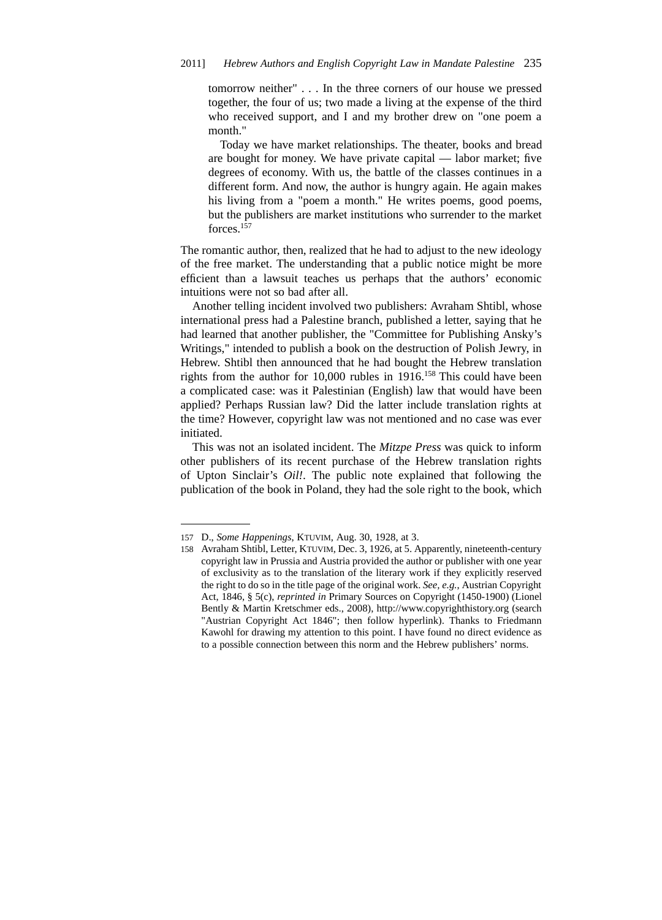tomorrow neither" . . . In the three corners of our house we pressed together, the four of us; two made a living at the expense of the third who received support, and I and my brother drew on "one poem a month."

Today we have market relationships. The theater, books and bread are bought for money. We have private capital — labor market; five degrees of economy. With us, the battle of the classes continues in a different form. And now, the author is hungry again. He again makes his living from a "poem a month." He writes poems, good poems, but the publishers are market institutions who surrender to the market forces. $157$ 

The romantic author, then, realized that he had to adjust to the new ideology of the free market. The understanding that a public notice might be more efficient than a lawsuit teaches us perhaps that the authors' economic intuitions were not so bad after all.

Another telling incident involved two publishers: Avraham Shtibl, whose international press had a Palestine branch, published a letter, saying that he had learned that another publisher, the "Committee for Publishing Ansky's Writings," intended to publish a book on the destruction of Polish Jewry, in Hebrew. Shtibl then announced that he had bought the Hebrew translation rights from the author for  $10,000$  rubles in  $1916$ .<sup>158</sup> This could have been a complicated case: was it Palestinian (English) law that would have been applied? Perhaps Russian law? Did the latter include translation rights at the time? However, copyright law was not mentioned and no case was ever initiated.

This was not an isolated incident. The *Mitzpe Press* was quick to inform other publishers of its recent purchase of the Hebrew translation rights of Upton Sinclair's *Oil!*. The public note explained that following the publication of the book in Poland, they had the sole right to the book, which

<sup>157</sup> D., *Some Happenings*, KTUVIM, Aug. 30, 1928, at 3.

<sup>158</sup> Avraham Shtibl, Letter, KTUVIM, Dec. 3, 1926, at 5. Apparently, nineteenth-century copyright law in Prussia and Austria provided the author or publisher with one year of exclusivity as to the translation of the literary work if they explicitly reserved the right to do so in the title page of the original work. *See, e.g.*, Austrian Copyright Act, 1846, § 5(c), *reprinted in* Primary Sources on Copyright (1450-1900) (Lionel Bently & Martin Kretschmer eds., 2008), http://www.copyrighthistory.org (search "Austrian Copyright Act 1846"; then follow hyperlink). Thanks to Friedmann Kawohl for drawing my attention to this point. I have found no direct evidence as to a possible connection between this norm and the Hebrew publishers' norms.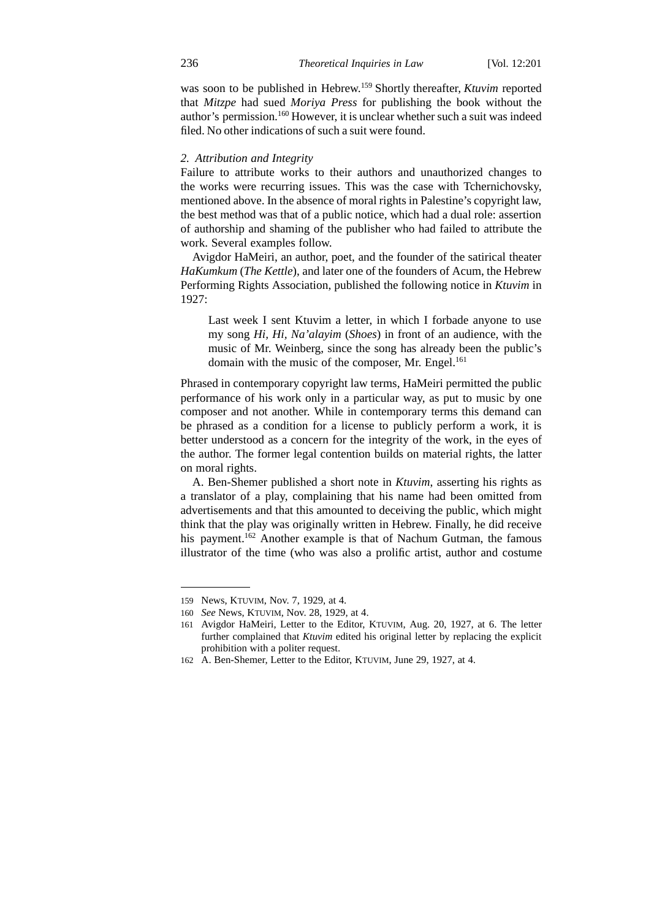was soon to be published in Hebrew.159 Shortly thereafter, *Ktuvim* reported that *Mitzpe* had sued *Moriya Press* for publishing the book without the author's permission.<sup>160</sup> However, it is unclear whether such a suit was indeed filed. No other indications of such a suit were found.

#### *2. Attribution and Integrity*

Failure to attribute works to their authors and unauthorized changes to the works were recurring issues. This was the case with Tchernichovsky, mentioned above. In the absence of moral rights in Palestine's copyright law, the best method was that of a public notice, which had a dual role: assertion of authorship and shaming of the publisher who had failed to attribute the work. Several examples follow.

Avigdor HaMeiri, an author, poet, and the founder of the satirical theater *HaKumkum* (*The Kettle*), and later one of the founders of Acum, the Hebrew Performing Rights Association, published the following notice in *Ktuvim* in 1927:

Last week I sent Ktuvim a letter, in which I forbade anyone to use my song *Hi, Hi, Na'alayim* (*Shoes*) in front of an audience, with the music of Mr. Weinberg, since the song has already been the public's domain with the music of the composer, Mr. Engel.<sup>161</sup>

Phrased in contemporary copyright law terms, HaMeiri permitted the public performance of his work only in a particular way, as put to music by one composer and not another. While in contemporary terms this demand can be phrased as a condition for a license to publicly perform a work, it is better understood as a concern for the integrity of the work, in the eyes of the author. The former legal contention builds on material rights, the latter on moral rights.

A. Ben-Shemer published a short note in *Ktuvim*, asserting his rights as a translator of a play, complaining that his name had been omitted from advertisements and that this amounted to deceiving the public, which might think that the play was originally written in Hebrew. Finally, he did receive his payment.<sup>162</sup> Another example is that of Nachum Gutman, the famous illustrator of the time (who was also a prolific artist, author and costume

<sup>159</sup> News, KTUVIM, Nov. 7, 1929, at 4.

<sup>160</sup> *See* News, KTUVIM, Nov. 28, 1929, at 4.

<sup>161</sup> Avigdor HaMeiri, Letter to the Editor, KTUVIM, Aug. 20, 1927, at 6. The letter further complained that *Ktuvim* edited his original letter by replacing the explicit prohibition with a politer request.

<sup>162</sup> A. Ben-Shemer, Letter to the Editor, KTUVIM, June 29, 1927, at 4.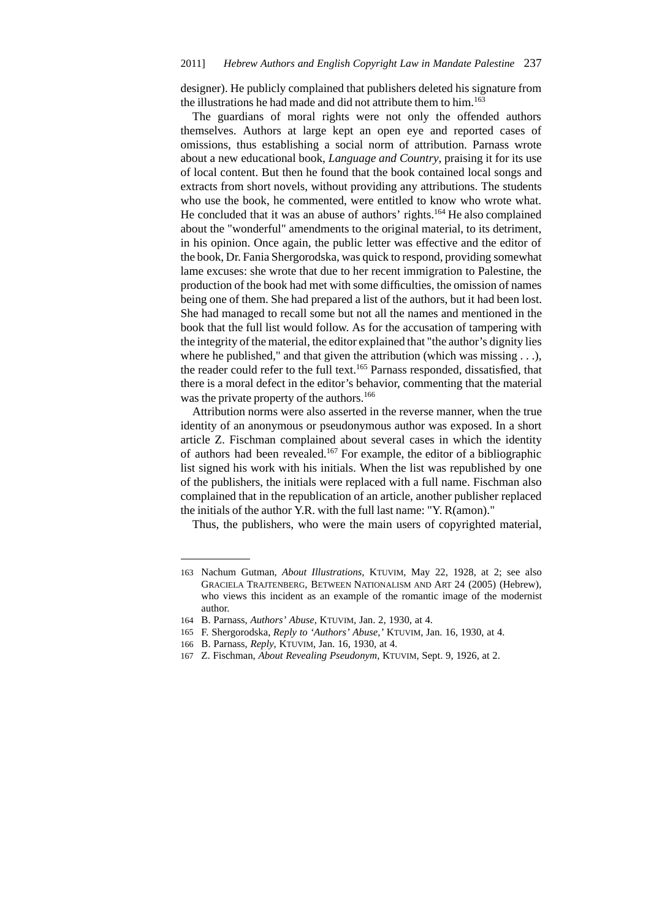designer). He publicly complained that publishers deleted his signature from the illustrations he had made and did not attribute them to him.<sup>163</sup>

The guardians of moral rights were not only the offended authors themselves. Authors at large kept an open eye and reported cases of omissions, thus establishing a social norm of attribution. Parnass wrote about a new educational book, *Language and Country*, praising it for its use of local content. But then he found that the book contained local songs and extracts from short novels, without providing any attributions. The students who use the book, he commented, were entitled to know who wrote what. He concluded that it was an abuse of authors' rights.<sup>164</sup> He also complained about the "wonderful" amendments to the original material, to its detriment, in his opinion. Once again, the public letter was effective and the editor of the book, Dr. Fania Shergorodska, was quick to respond, providing somewhat lame excuses: she wrote that due to her recent immigration to Palestine, the production of the book had met with some difficulties, the omission of names being one of them. She had prepared a list of the authors, but it had been lost. She had managed to recall some but not all the names and mentioned in the book that the full list would follow. As for the accusation of tampering with the integrity of the material, the editor explained that "the author's dignity lies where he published," and that given the attribution (which was missing . . .), the reader could refer to the full text.<sup>165</sup> Parnass responded, dissatisfied, that there is a moral defect in the editor's behavior, commenting that the material was the private property of the authors.<sup>166</sup>

Attribution norms were also asserted in the reverse manner, when the true identity of an anonymous or pseudonymous author was exposed. In a short article Z. Fischman complained about several cases in which the identity of authors had been revealed.167 For example, the editor of a bibliographic list signed his work with his initials. When the list was republished by one of the publishers, the initials were replaced with a full name. Fischman also complained that in the republication of an article, another publisher replaced the initials of the author Y.R. with the full last name: "Y. R(amon)."

Thus, the publishers, who were the main users of copyrighted material,

<sup>163</sup> Nachum Gutman, *About Illustrations*, KTUVIM, May 22, 1928, at 2; see also GRACIELA TRAJTENBERG, BETWEEN NATIONALISM AND ART 24 (2005) (Hebrew), who views this incident as an example of the romantic image of the modernist author.

<sup>164</sup> B. Parnass, *Authors' Abuse*, KTUVIM, Jan. 2, 1930, at 4.

<sup>165</sup> F. Shergorodska, *Reply to 'Authors' Abuse,'* KTUVIM, Jan. 16, 1930, at 4.

<sup>166</sup> B. Parnass, *Reply*, KTUVIM, Jan. 16, 1930, at 4.

<sup>167</sup> Z. Fischman, *About Revealing Pseudonym*, KTUVIM, Sept. 9, 1926, at 2.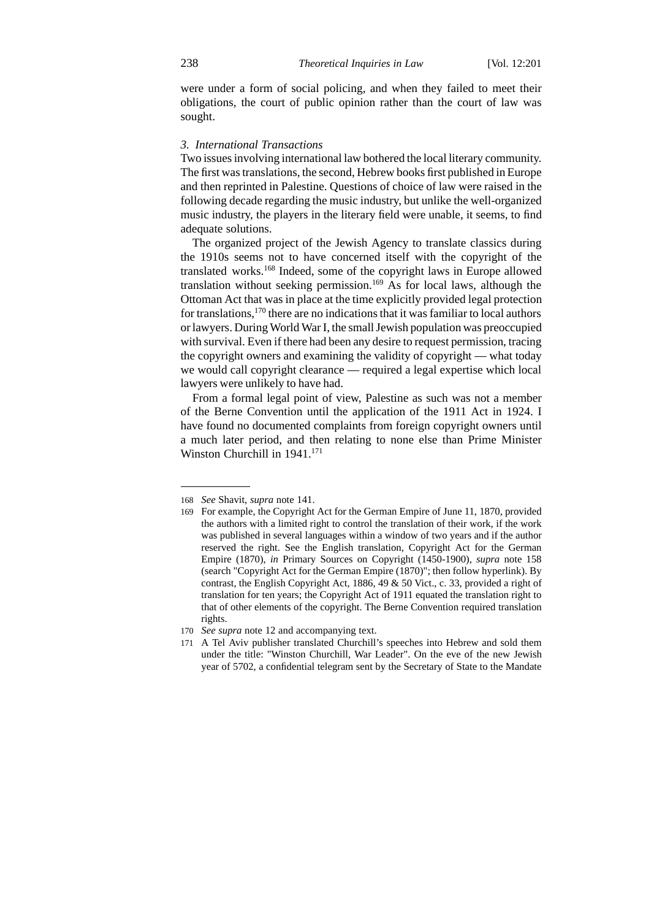were under a form of social policing, and when they failed to meet their obligations, the court of public opinion rather than the court of law was sought.

#### *3. International Transactions*

Two issues involving international law bothered the local literary community. The first was translations, the second, Hebrew books first published in Europe and then reprinted in Palestine. Questions of choice of law were raised in the following decade regarding the music industry, but unlike the well-organized music industry, the players in the literary field were unable, it seems, to find adequate solutions.

The organized project of the Jewish Agency to translate classics during the 1910s seems not to have concerned itself with the copyright of the translated works.168 Indeed, some of the copyright laws in Europe allowed translation without seeking permission.<sup>169</sup> As for local laws, although the Ottoman Act that was in place at the time explicitly provided legal protection for translations,170 there are no indications that it was familiar to local authors or lawyers. During World War I, the small Jewish population was preoccupied with survival. Even if there had been any desire to request permission, tracing the copyright owners and examining the validity of copyright — what today we would call copyright clearance — required a legal expertise which local lawyers were unlikely to have had.

From a formal legal point of view, Palestine as such was not a member of the Berne Convention until the application of the 1911 Act in 1924. I have found no documented complaints from foreign copyright owners until a much later period, and then relating to none else than Prime Minister Winston Churchill in 1941.<sup>171</sup>

<sup>168</sup> *See* Shavit, *supra* note 141.

<sup>169</sup> For example, the Copyright Act for the German Empire of June 11, 1870, provided the authors with a limited right to control the translation of their work, if the work was published in several languages within a window of two years and if the author reserved the right. See the English translation, Copyright Act for the German Empire (1870), *in* Primary Sources on Copyright (1450-1900), *supra* note 158 (search "Copyright Act for the German Empire (1870)"; then follow hyperlink). By contrast, the English Copyright Act, 1886, 49 & 50 Vict., c. 33, provided a right of translation for ten years; the Copyright Act of 1911 equated the translation right to that of other elements of the copyright. The Berne Convention required translation rights.

<sup>170</sup> *See supra* note 12 and accompanying text.

<sup>171</sup> A Tel Aviv publisher translated Churchill's speeches into Hebrew and sold them under the title: "Winston Churchill, War Leader". On the eve of the new Jewish year of 5702, a confidential telegram sent by the Secretary of State to the Mandate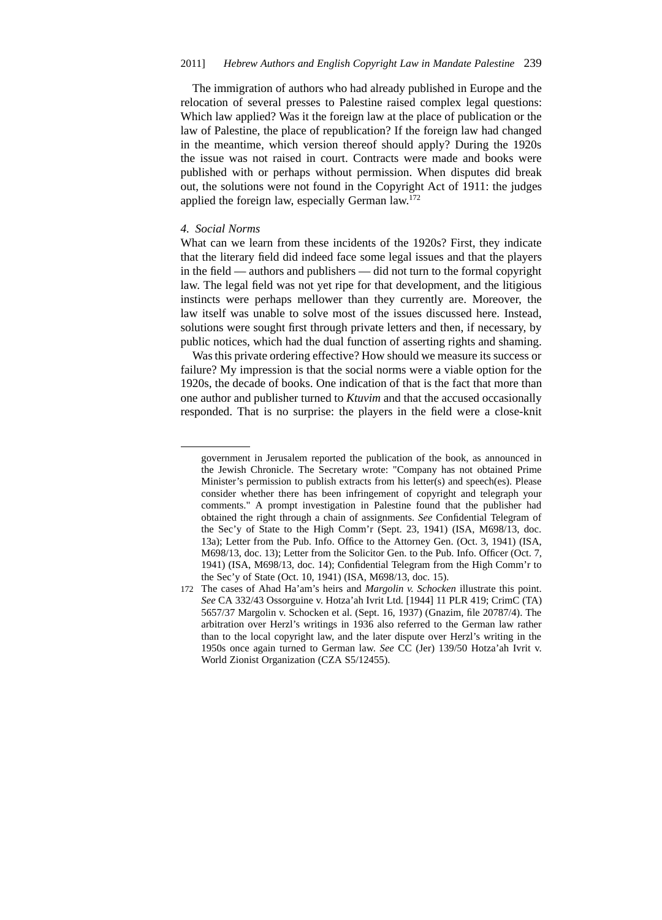#### 2011] *Hebrew Authors and English Copyright Law in Mandate Palestine* 239

The immigration of authors who had already published in Europe and the relocation of several presses to Palestine raised complex legal questions: Which law applied? Was it the foreign law at the place of publication or the law of Palestine, the place of republication? If the foreign law had changed in the meantime, which version thereof should apply? During the 1920s the issue was not raised in court. Contracts were made and books were published with or perhaps without permission. When disputes did break out, the solutions were not found in the Copyright Act of 1911: the judges applied the foreign law, especially German  $law$ <sup>172</sup>

#### *4. Social Norms*

What can we learn from these incidents of the 1920s? First, they indicate that the literary field did indeed face some legal issues and that the players in the field — authors and publishers — did not turn to the formal copyright law. The legal field was not yet ripe for that development, and the litigious instincts were perhaps mellower than they currently are. Moreover, the law itself was unable to solve most of the issues discussed here. Instead, solutions were sought first through private letters and then, if necessary, by public notices, which had the dual function of asserting rights and shaming.

Was this private ordering effective? How should we measure its success or failure? My impression is that the social norms were a viable option for the 1920s, the decade of books. One indication of that is the fact that more than one author and publisher turned to *Ktuvim* and that the accused occasionally responded. That is no surprise: the players in the field were a close-knit

government in Jerusalem reported the publication of the book, as announced in the Jewish Chronicle. The Secretary wrote: "Company has not obtained Prime Minister's permission to publish extracts from his letter(s) and speech(es). Please consider whether there has been infringement of copyright and telegraph your comments." A prompt investigation in Palestine found that the publisher had obtained the right through a chain of assignments. *See* Confidential Telegram of the Sec'y of State to the High Comm'r (Sept. 23, 1941) (ISA, M698/13, doc. 13a); Letter from the Pub. Info. Office to the Attorney Gen. (Oct. 3, 1941) (ISA, M698/13, doc. 13); Letter from the Solicitor Gen. to the Pub. Info. Officer (Oct. 7, 1941) (ISA, M698/13, doc. 14); Confidential Telegram from the High Comm'r to the Sec'y of State (Oct. 10, 1941) (ISA, M698/13, doc. 15).

<sup>172</sup> The cases of Ahad Ha'am's heirs and *Margolin v. Schocken* illustrate this point. *See* CA 332/43 Ossorguine v. Hotza'ah Ivrit Ltd. [1944] 11 PLR 419; CrimC (TA) 5657/37 Margolin v. Schocken et al. (Sept. 16, 1937) (Gnazim, file 20787/4). The arbitration over Herzl's writings in 1936 also referred to the German law rather than to the local copyright law, and the later dispute over Herzl's writing in the 1950s once again turned to German law. *See* CC (Jer) 139/50 Hotza'ah Ivrit v. World Zionist Organization (CZA S5/12455).